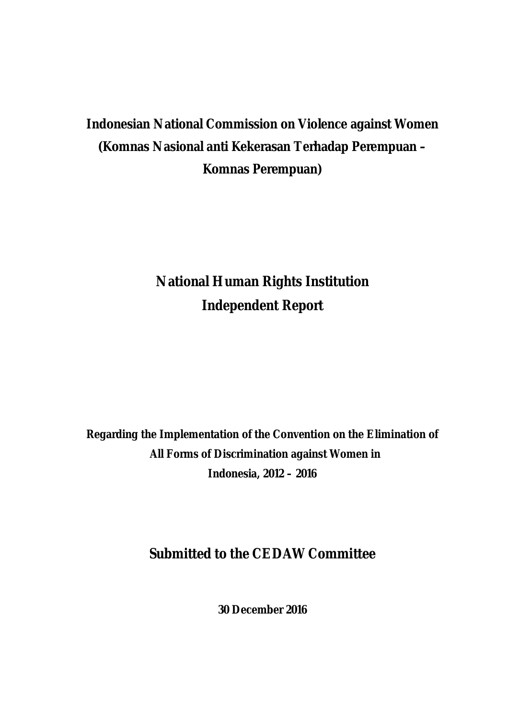# **Indonesian National Commission on Violence against Women (Komnas Nasional anti Kekerasan Terhadap Perempuan – Komnas Perempuan)**

# **National Human Rights Institution Independent Report**

**Regarding the Implementation of the Convention on the Elimination of All Forms of Discrimination against Women in Indonesia, 2012 – 2016**

## **Submitted to the CEDAW Committee**

**30 December 2016**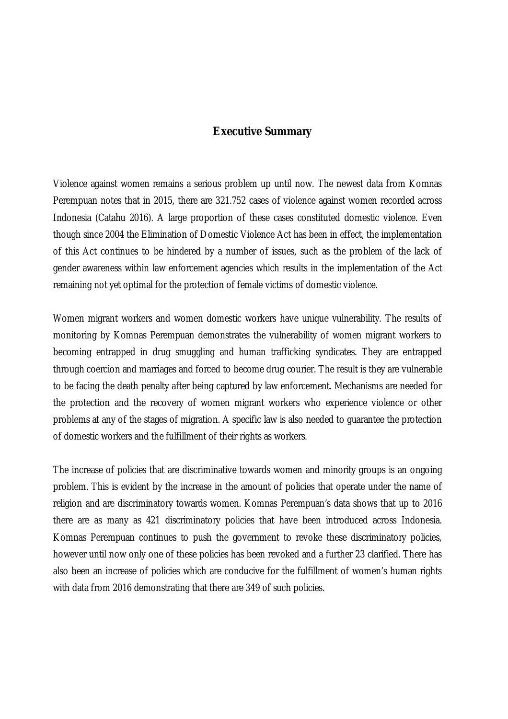### **Executive Summary**

Violence against women remains a serious problem up until now. The newest data from Komnas Perempuan notes that in 2015, there are 321.752 cases of violence against women recorded across Indonesia (Catahu 2016). A large proportion of these cases constituted domestic violence. Even though since 2004 the Elimination of Domestic Violence Act has been in effect, the implementation of this Act continues to be hindered by a number of issues, such as the problem of the lack of gender awareness within law enforcement agencies which results in the implementation of the Act remaining not yet optimal for the protection of female victims of domestic violence.

Women migrant workers and women domestic workers have unique vulnerability. The results of monitoring by Komnas Perempuan demonstrates the vulnerability of women migrant workers to becoming entrapped in drug smuggling and human trafficking syndicates. They are entrapped through coercion and marriages and forced to become drug courier. The result is they are vulnerable to be facing the death penalty after being captured by law enforcement. Mechanisms are needed for the protection and the recovery of women migrant workers who experience violence or other problems at any of the stages of migration. A specific law is also needed to guarantee the protection of domestic workers and the fulfillment of their rights as workers.

The increase of policies that are discriminative towards women and minority groups is an ongoing problem. This is evident by the increase in the amount of policies that operate under the name of religion and are discriminatory towards women. Komnas Perempuan's data shows that up to 2016 there are as many as 421 discriminatory policies that have been introduced across Indonesia. Komnas Perempuan continues to push the government to revoke these discriminatory policies, however until now only one of these policies has been revoked and a further 23 clarified. There has also been an increase of policies which are conducive for the fulfillment of women's human rights with data from 2016 demonstrating that there are 349 of such policies.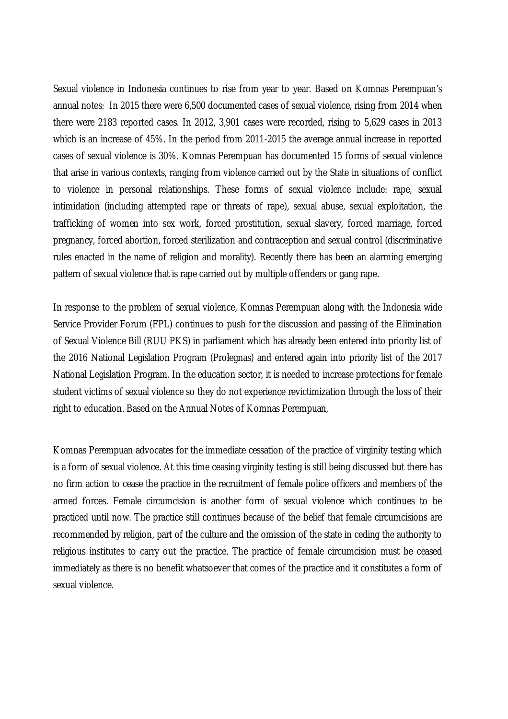Sexual violence in Indonesia continues to rise from year to year. Based on Komnas Perempuan's annual notes: In 2015 there were 6,500 documented cases of sexual violence, rising from 2014 when there were 2183 reported cases. In 2012, 3,901 cases were recorded, rising to 5,629 cases in 2013 which is an increase of 45%. In the period from 2011-2015 the average annual increase in reported cases of sexual violence is 30%. Komnas Perempuan has documented 15 forms of sexual violence that arise in various contexts, ranging from violence carried out by the State in situations of conflict to violence in personal relationships. These forms of sexual violence include: rape, sexual intimidation (including attempted rape or threats of rape), sexual abuse, sexual exploitation, the trafficking of women into sex work, forced prostitution, sexual slavery, forced marriage, forced pregnancy, forced abortion, forced sterilization and contraception and sexual control (discriminative rules enacted in the name of religion and morality). Recently there has been an alarming emerging pattern of sexual violence that is rape carried out by multiple offenders or gang rape.

In response to the problem of sexual violence, Komnas Perempuan along with the Indonesia wide Service Provider Forum (FPL) continues to push for the discussion and passing of the Elimination of Sexual Violence Bill (RUU PKS) in parliament which has already been entered into priority list of the 2016 National Legislation Program (Prolegnas) and entered again into priority list of the 2017 National Legislation Program. In the education sector, it is needed to increase protections for female student victims of sexual violence so they do not experience revictimization through the loss of their right to education. Based on the Annual Notes of Komnas Perempuan,

Komnas Perempuan advocates for the immediate cessation of the practice of virginity testing which is a form of sexual violence. At this time ceasing virginity testing is still being discussed but there has no firm action to cease the practice in the recruitment of female police officers and members of the armed forces. Female circumcision is another form of sexual violence which continues to be practiced until now. The practice still continues because of the belief that female circumcisions are recommended by religion, part of the culture and the omission of the state in ceding the authority to religious institutes to carry out the practice. The practice of female circumcision must be ceased immediately as there is no benefit whatsoever that comes of the practice and it constitutes a form of sexual violence.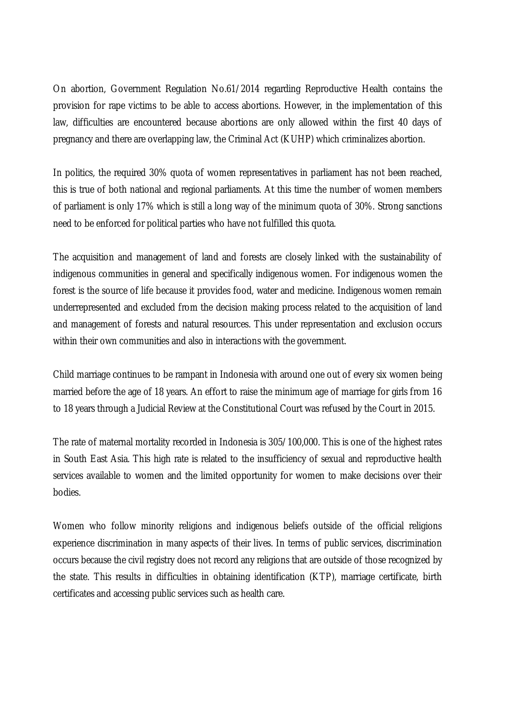On abortion, Government Regulation No.61/2014 regarding Reproductive Health contains the provision for rape victims to be able to access abortions. However, in the implementation of this law, difficulties are encountered because abortions are only allowed within the first 40 days of pregnancy and there are overlapping law, the Criminal Act (KUHP) which criminalizes abortion.

In politics, the required 30% quota of women representatives in parliament has not been reached, this is true of both national and regional parliaments. At this time the number of women members of parliament is only 17% which is still a long way of the minimum quota of 30%. Strong sanctions need to be enforced for political parties who have not fulfilled this quota.

The acquisition and management of land and forests are closely linked with the sustainability of indigenous communities in general and specifically indigenous women. For indigenous women the forest is the source of life because it provides food, water and medicine. Indigenous women remain underrepresented and excluded from the decision making process related to the acquisition of land and management of forests and natural resources. This under representation and exclusion occurs within their own communities and also in interactions with the government.

Child marriage continues to be rampant in Indonesia with around one out of every six women being married before the age of 18 years. An effort to raise the minimum age of marriage for girls from 16 to 18 years through a Judicial Review at the Constitutional Court was refused by the Court in 2015.

The rate of maternal mortality recorded in Indonesia is 305/100,000. This is one of the highest rates in South East Asia. This high rate is related to the insufficiency of sexual and reproductive health services available to women and the limited opportunity for women to make decisions over their bodies.

Women who follow minority religions and indigenous beliefs outside of the official religions experience discrimination in many aspects of their lives. In terms of public services, discrimination occurs because the civil registry does not record any religions that are outside of those recognized by the state. This results in difficulties in obtaining identification (KTP), marriage certificate, birth certificates and accessing public services such as health care.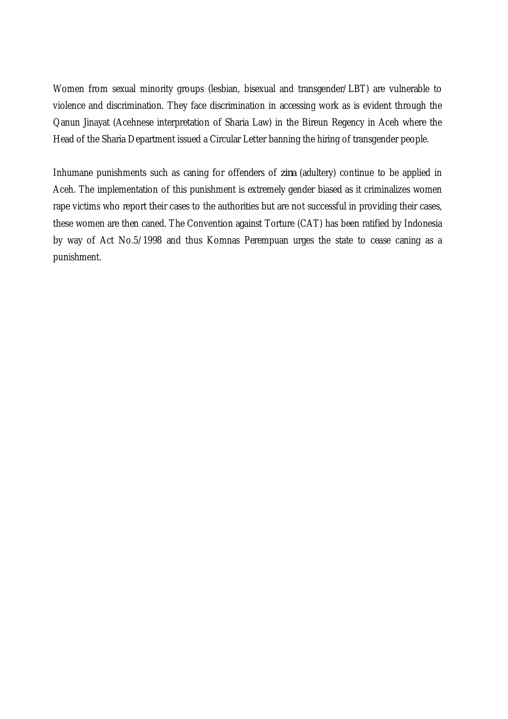Women from sexual minority groups (lesbian, bisexual and transgender/LBT) are vulnerable to violence and discrimination. They face discrimination in accessing work as is evident through the Qanun Jinayat (Acehnese interpretation of Sharia Law) in the Bireun Regency in Aceh where the Head of the Sharia Department issued a Circular Letter banning the hiring of transgender people.

Inhumane punishments such as caning for offenders of *zina* (adultery) continue to be applied in Aceh. The implementation of this punishment is extremely gender biased as it criminalizes women rape victims who report their cases to the authorities but are not successful in providing their cases, these women are then caned. The Convention against Torture (CAT) has been ratified by Indonesia by way of Act No.5/1998 and thus Komnas Perempuan urges the state to cease caning as a punishment.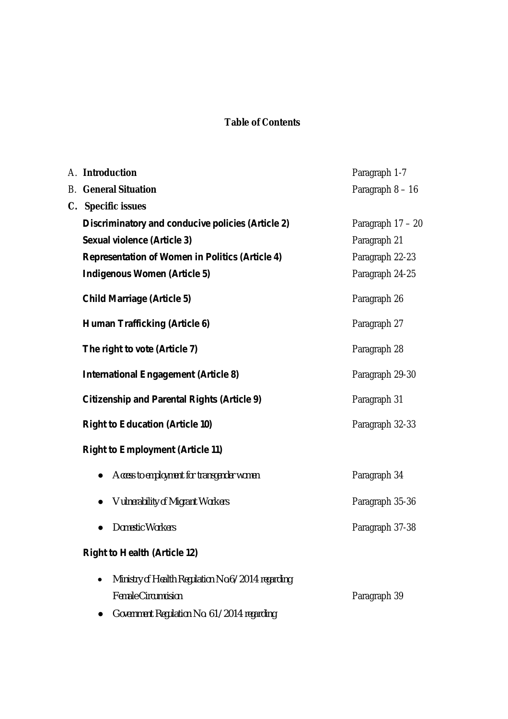## **Table of Contents**

|    | A. Introduction                                                | Paragraph 1-7     |
|----|----------------------------------------------------------------|-------------------|
| B. | <b>General Situation</b>                                       | Paragraph 8 - 16  |
|    | C. Specific issues                                             |                   |
|    | Discriminatory and conducive policies (Article 2)              | Paragraph 17 - 20 |
|    | Sexual violence (Article 3)                                    | Paragraph 21      |
|    | <b>Representation of Women in Politics (Article 4)</b>         | Paragraph 22-23   |
|    | <b>Indigenous Women (Article 5)</b>                            | Paragraph 24-25   |
|    | <b>Child Marriage (Article 5)</b>                              | Paragraph 26      |
|    | <b>Human Trafficking (Article 6)</b>                           | Paragraph 27      |
|    | The right to vote (Article 7)                                  | Paragraph 28      |
|    | <b>International Engagement (Article 8)</b>                    | Paragraph 29-30   |
|    | <b>Citizenship and Parental Rights (Article 9)</b>             | Paragraph 31      |
|    | <b>Right to Education (Article 10)</b>                         | Paragraph 32-33   |
|    | <b>Right to Employment (Article 11)</b>                        |                   |
|    | Access to employment for transgender women                     | Paragraph 34      |
|    | <b>Vulnerability of Migrant Workers</b>                        | Paragraph 35-36   |
|    | Domestic Workers                                               | Paragraph 37-38   |
|    | <b>Right to Health (Article 12)</b>                            |                   |
|    | Ministry of Health Regulation No.6/2014 regarding<br>$\bullet$ |                   |
|    | <b>Female Circumcision</b>                                     | Paragraph 39      |
|    |                                                                |                   |

● *Government Regulation No. 61/2014 regarding*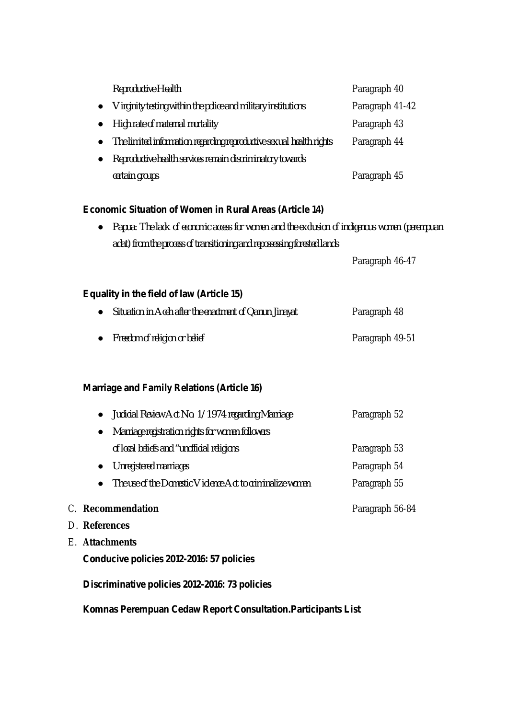|                                                                         | Reproductive Health                                                                           | Paragraph 40    |  |  |  |
|-------------------------------------------------------------------------|-----------------------------------------------------------------------------------------------|-----------------|--|--|--|
|                                                                         | Virginity testing within the police and military institutions                                 | Paragraph 41-42 |  |  |  |
|                                                                         | High rate of maternal mortality                                                               | Paragraph 43    |  |  |  |
|                                                                         | The limited information regarding reproductive sexual health rights                           | Paragraph 44    |  |  |  |
|                                                                         | Reproductive health services remain discriminatory towards                                    |                 |  |  |  |
|                                                                         | certain groups                                                                                | Paragraph 45    |  |  |  |
|                                                                         | <b>Economic Situation of Women in Rural Areas (Article 14)</b>                                |                 |  |  |  |
|                                                                         | Papua: The lack of economic access for women and the exclusion of indigenous women (perempuan |                 |  |  |  |
| adat) from the process of transitioning and repossessing forested lands |                                                                                               |                 |  |  |  |
|                                                                         |                                                                                               | Paragraph 46-47 |  |  |  |
|                                                                         | Equality in the field of law (Article 15)                                                     |                 |  |  |  |
|                                                                         | Situation in Aceh after the enactment of Qanun Jinayat                                        | Paragraph 48    |  |  |  |
|                                                                         | Freedom of religion or belief                                                                 | Paragraph 49-51 |  |  |  |
|                                                                         | <b>Marriage and Family Relations (Article 16)</b>                                             |                 |  |  |  |
|                                                                         | Judicial Review Act No. 1/1974 regarding Marriage                                             | Paragraph 52    |  |  |  |
|                                                                         | Marriage registration rights for women followers                                              |                 |  |  |  |
|                                                                         | of local beliefs and "unofficial religions                                                    | Paragraph 53    |  |  |  |
|                                                                         | <b>Unregistered marriages</b>                                                                 | Paragraph 54    |  |  |  |
|                                                                         | The use of the Domestic Violence Act to criminalize women                                     | Paragraph 55    |  |  |  |
|                                                                         | C. Recommendation                                                                             | Paragraph 56-84 |  |  |  |
|                                                                         | D. References                                                                                 |                 |  |  |  |
| E. Attachments                                                          |                                                                                               |                 |  |  |  |
|                                                                         | Conducive policies 2012-2016: 57 policies                                                     |                 |  |  |  |
| Discriminative policies 2012-2016: 73 policies                          |                                                                                               |                 |  |  |  |
|                                                                         | Komnas Perempuan Cedaw Report Consultation. Participants List                                 |                 |  |  |  |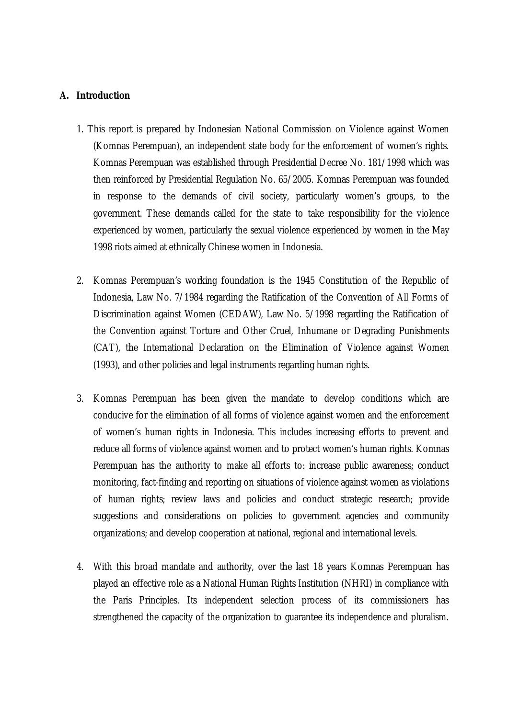#### **A. Introduction**

- 1. This report is prepared by Indonesian National Commission on Violence against Women (Komnas Perempuan), an independent state body for the enforcement of women's rights. Komnas Perempuan was established through Presidential Decree No. 181/1998 which was then reinforced by Presidential Regulation No. 65/2005. Komnas Perempuan was founded in response to the demands of civil society, particularly women's groups, to the government. These demands called for the state to take responsibility for the violence experienced by women, particularly the sexual violence experienced by women in the May 1998 riots aimed at ethnically Chinese women in Indonesia.
- 2. Komnas Perempuan's working foundation is the 1945 Constitution of the Republic of Indonesia, Law No. 7/1984 regarding the Ratification of the Convention of All Forms of Discrimination against Women (CEDAW), Law No. 5/1998 regarding the Ratification of the Convention against Torture and Other Cruel, Inhumane or Degrading Punishments (CAT), the International Declaration on the Elimination of Violence against Women (1993), and other policies and legal instruments regarding human rights.
- 3. Komnas Perempuan has been given the mandate to develop conditions which are conducive for the elimination of all forms of violence against women and the enforcement of women's human rights in Indonesia. This includes increasing efforts to prevent and reduce all forms of violence against women and to protect women's human rights. Komnas Perempuan has the authority to make all efforts to: increase public awareness; conduct monitoring, fact-finding and reporting on situations of violence against women as violations of human rights; review laws and policies and conduct strategic research; provide suggestions and considerations on policies to government agencies and community organizations; and develop cooperation at national, regional and international levels.
- 4. With this broad mandate and authority, over the last 18 years Komnas Perempuan has played an effective role as a National Human Rights Institution (NHRI) in compliance with the Paris Principles. Its independent selection process of its commissioners has strengthened the capacity of the organization to guarantee its independence and pluralism.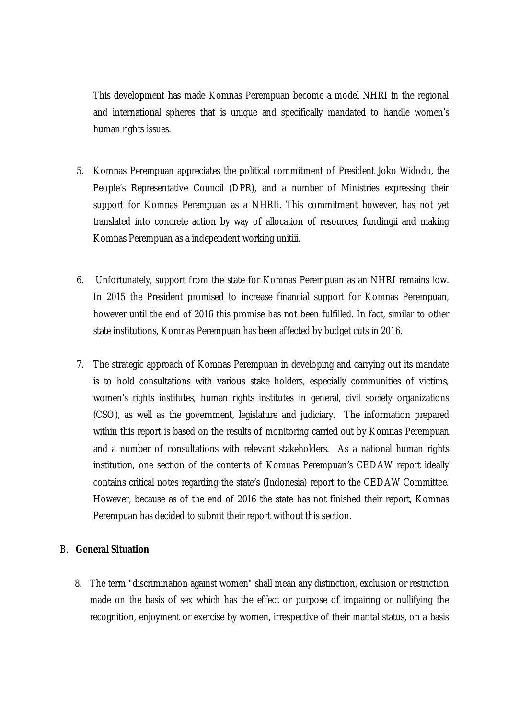This development has made Komnas Perempuan become a model NHRI in the regional and international spheres that is unique and specifically mandated to handle women's human rights issues.

- 5. Komnas Perempuan appreciates the political commitment of President Joko Widodo, the People's Representative Council (DPR), and a number of Ministries expressing their support for Komnas Perempuan as a NHRIi. This commitment however, has not yet translated into concrete action by way of allocation of resources, fundingii and making Komnas Perempuan as a independent working unitiii.
- 6. Unfortunately, support from the state for Komnas Perempuan as an NHRI remains low. In 2015 the President promised to increase financial support for Komnas Perempuan, however until the end of 2016 this promise has not been fulfilled. In fact, similar to other state institutions, Komnas Perempuan has been affected by budget cuts in 2016.
- 7. The strategic approach of Komnas Perempuan in developing and carrying out its mandate is to hold consultations with various stake holders, especially communities of victims, women's rights institutes, human rights institutes in general, civil society organizations (CSO), as well as the government, legislature and judiciary. The information prepared within this report is based on the results of monitoring carried out by Komnas Perempuan and a number of consultations with relevant stakeholders. As a national human rights institution, one section of the contents of Komnas Perempuan's CEDAW report ideally contains critical notes regarding the state's (Indonesia) report to the CEDAW Committee. However, because as of the end of 2016 the state has not finished their report, Komnas Perempuan has decided to submit their report without this section.

#### B. **General Situation**

8. The term "discrimination against women" shall mean any distinction, exclusion or restriction made on the basis of sex which has the effect or purpose of impairing or nullifying the recognition, enjoyment or exercise by women, irrespective of their marital status, on a basis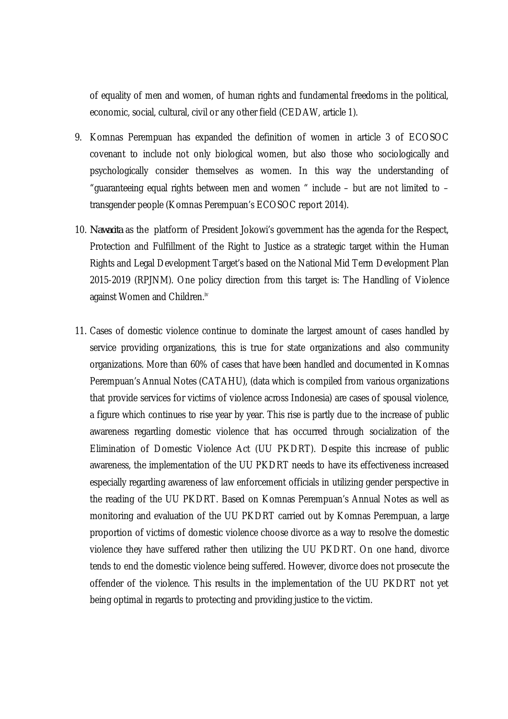of equality of men and women, of human rights and fundamental freedoms in the political, economic, social, cultural, civil or any other field (CEDAW, article 1).

- 9. Komnas Perempuan has expanded the definition of women in article 3 of ECOSOC covenant to include not only biological women, but also those who sociologically and psychologically consider themselves as women. In this way the understanding of "guaranteeing equal rights between men and women " include – but are not limited to – transgender people (Komnas Perempuan's ECOSOC report 2014).
- 10. *Nawacita* as the platform of President Jokowi's government has the agenda for the Respect, Protection and Fulfillment of the Right to Justice as a strategic target within the Human Rights and Legal Development Target's based on the National Mid Term Development Plan 2015-2019 (RPJNM). One policy direction from this target is: The Handling of Violence against Women and Children.<sup>iv</sup>
- 11. Cases of domestic violence continue to dominate the largest amount of cases handled by service providing organizations, this is true for state organizations and also community organizations. More than 60% of cases that have been handled and documented in Komnas Perempuan's Annual Notes (CATAHU), (data which is compiled from various organizations that provide services for victims of violence across Indonesia) are cases of spousal violence, a figure which continues to rise year by year. This rise is partly due to the increase of public awareness regarding domestic violence that has occurred through socialization of the Elimination of Domestic Violence Act (UU PKDRT). Despite this increase of public awareness, the implementation of the UU PKDRT needs to have its effectiveness increased especially regarding awareness of law enforcement officials in utilizing gender perspective in the reading of the UU PKDRT. Based on Komnas Perempuan's Annual Notes as well as monitoring and evaluation of the UU PKDRT carried out by Komnas Perempuan, a large proportion of victims of domestic violence choose divorce as a way to resolve the domestic violence they have suffered rather then utilizing the UU PKDRT. On one hand, divorce tends to end the domestic violence being suffered. However, divorce does not prosecute the offender of the violence. This results in the implementation of the UU PKDRT not yet being optimal in regards to protecting and providing justice to the victim.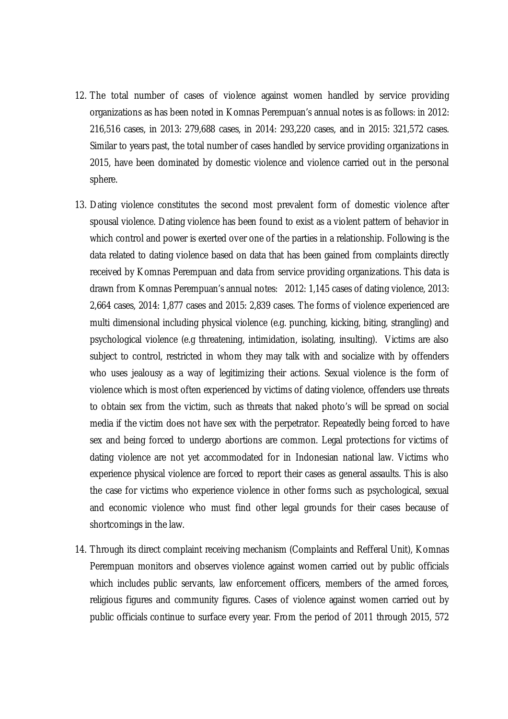- 12. The total number of cases of violence against women handled by service providing organizations as has been noted in Komnas Perempuan's annual notes is as follows: in 2012: 216,516 cases, in 2013: 279,688 cases, in 2014: 293,220 cases, and in 2015: 321,572 cases. Similar to years past, the total number of cases handled by service providing organizations in 2015, have been dominated by domestic violence and violence carried out in the personal sphere.
- 13. Dating violence constitutes the second most prevalent form of domestic violence after spousal violence. Dating violence has been found to exist as a violent pattern of behavior in which control and power is exerted over one of the parties in a relationship. Following is the data related to dating violence based on data that has been gained from complaints directly received by Komnas Perempuan and data from service providing organizations. This data is drawn from Komnas Perempuan's annual notes: 2012: 1,145 cases of dating violence, 2013: 2,664 cases, 2014: 1,877 cases and 2015: 2,839 cases. The forms of violence experienced are multi dimensional including physical violence (e.g. punching, kicking, biting, strangling) and psychological violence (e.g threatening, intimidation, isolating, insulting). Victims are also subject to control, restricted in whom they may talk with and socialize with by offenders who uses jealousy as a way of legitimizing their actions. Sexual violence is the form of violence which is most often experienced by victims of dating violence, offenders use threats to obtain sex from the victim, such as threats that naked photo's will be spread on social media if the victim does not have sex with the perpetrator. Repeatedly being forced to have sex and being forced to undergo abortions are common. Legal protections for victims of dating violence are not yet accommodated for in Indonesian national law. Victims who experience physical violence are forced to report their cases as general assaults. This is also the case for victims who experience violence in other forms such as psychological, sexual and economic violence who must find other legal grounds for their cases because of shortcomings in the law.
- 14. Through its direct complaint receiving mechanism (Complaints and Refferal Unit), Komnas Perempuan monitors and observes violence against women carried out by public officials which includes public servants, law enforcement officers, members of the armed forces, religious figures and community figures. Cases of violence against women carried out by public officials continue to surface every year. From the period of 2011 through 2015, 572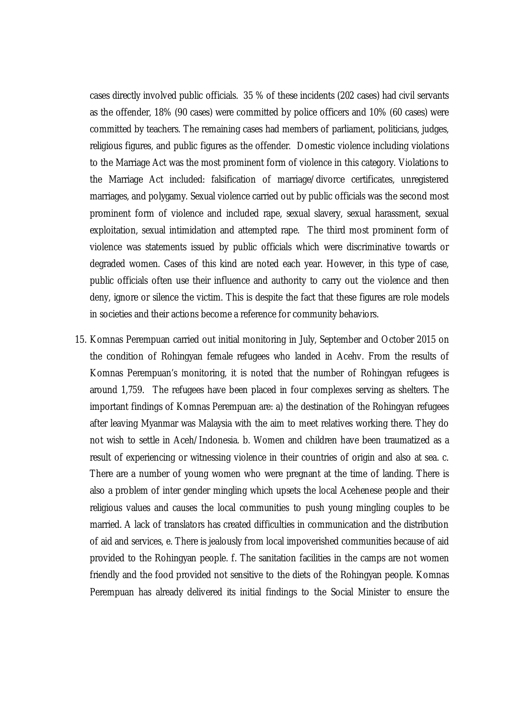cases directly involved public officials. 35 % of these incidents (202 cases) had civil servants as the offender, 18% (90 cases) were committed by police officers and 10% (60 cases) were committed by teachers. The remaining cases had members of parliament, politicians, judges, religious figures, and public figures as the offender. Domestic violence including violations to the Marriage Act was the most prominent form of violence in this category. Violations to the Marriage Act included: falsification of marriage/divorce certificates, unregistered marriages, and polygamy. Sexual violence carried out by public officials was the second most prominent form of violence and included rape, sexual slavery, sexual harassment, sexual exploitation, sexual intimidation and attempted rape. The third most prominent form of violence was statements issued by public officials which were discriminative towards or degraded women. Cases of this kind are noted each year. However, in this type of case, public officials often use their influence and authority to carry out the violence and then deny, ignore or silence the victim. This is despite the fact that these figures are role models in societies and their actions become a reference for community behaviors.

15. Komnas Perempuan carried out initial monitoring in July, September and October 2015 on the condition of Rohingyan female refugees who landed in Acehv. From the results of Komnas Perempuan's monitoring, it is noted that the number of Rohingyan refugees is around 1,759. The refugees have been placed in four complexes serving as shelters. The important findings of Komnas Perempuan are: a) the destination of the Rohingyan refugees after leaving Myanmar was Malaysia with the aim to meet relatives working there. They do not wish to settle in Aceh/Indonesia. b. Women and children have been traumatized as a result of experiencing or witnessing violence in their countries of origin and also at sea. c. There are a number of young women who were pregnant at the time of landing. There is also a problem of inter gender mingling which upsets the local Acehenese people and their religious values and causes the local communities to push young mingling couples to be married. A lack of translators has created difficulties in communication and the distribution of aid and services, e. There is jealously from local impoverished communities because of aid provided to the Rohingyan people. f. The sanitation facilities in the camps are not women friendly and the food provided not sensitive to the diets of the Rohingyan people. Komnas Perempuan has already delivered its initial findings to the Social Minister to ensure the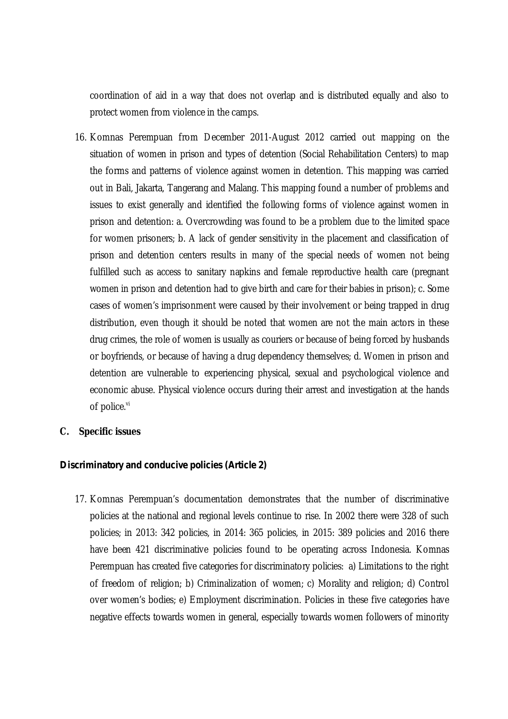coordination of aid in a way that does not overlap and is distributed equally and also to protect women from violence in the camps.

- 16. Komnas Perempuan from December 2011-August 2012 carried out mapping on the situation of women in prison and types of detention (Social Rehabilitation Centers) to map the forms and patterns of violence against women in detention. This mapping was carried out in Bali, Jakarta, Tangerang and Malang. This mapping found a number of problems and issues to exist generally and identified the following forms of violence against women in prison and detention: a. Overcrowding was found to be a problem due to the limited space for women prisoners; b. A lack of gender sensitivity in the placement and classification of prison and detention centers results in many of the special needs of women not being fulfilled such as access to sanitary napkins and female reproductive health care (pregnant women in prison and detention had to give birth and care for their babies in prison); c. Some cases of women's imprisonment were caused by their involvement or being trapped in drug distribution, even though it should be noted that women are not the main actors in these drug crimes, the role of women is usually as couriers or because of being forced by husbands or boyfriends, or because of having a drug dependency themselves; d. Women in prison and detention are vulnerable to experiencing physical, sexual and psychological violence and economic abuse. Physical violence occurs during their arrest and investigation at the hands of police.<sup>vi</sup>
- **C. Specific issues**

#### *Discriminatory and conducive policies (Article 2)*

17. Komnas Perempuan's documentation demonstrates that the number of discriminative policies at the national and regional levels continue to rise. In 2002 there were 328 of such policies; in 2013: 342 policies, in 2014: 365 policies, in 2015: 389 policies and 2016 there have been 421 discriminative policies found to be operating across Indonesia. Komnas Perempuan has created five categories for discriminatory policies: a) Limitations to the right of freedom of religion; b) Criminalization of women; c) Morality and religion; d) Control over women's bodies; e) Employment discrimination. Policies in these five categories have negative effects towards women in general, especially towards women followers of minority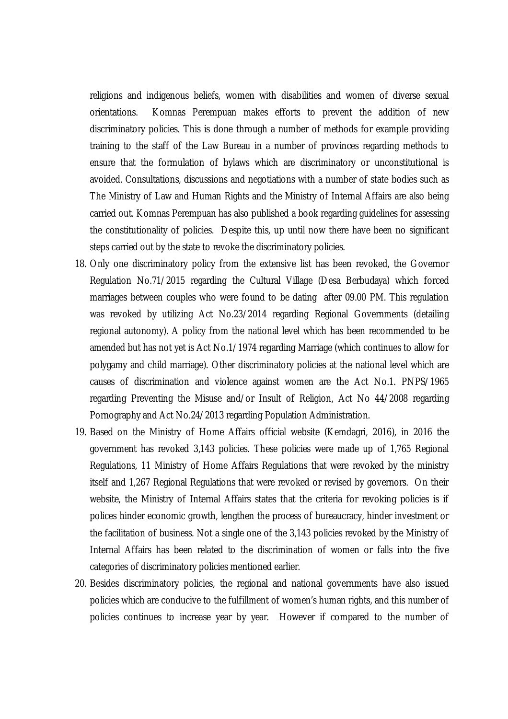religions and indigenous beliefs, women with disabilities and women of diverse sexual orientations. Komnas Perempuan makes efforts to prevent the addition of new discriminatory policies. This is done through a number of methods for example providing training to the staff of the Law Bureau in a number of provinces regarding methods to ensure that the formulation of bylaws which are discriminatory or unconstitutional is avoided. Consultations, discussions and negotiations with a number of state bodies such as The Ministry of Law and Human Rights and the Ministry of Internal Affairs are also being carried out. Komnas Perempuan has also published a book regarding guidelines for assessing the constitutionality of policies. Despite this, up until now there have been no significant steps carried out by the state to revoke the discriminatory policies.

- 18. Only one discriminatory policy from the extensive list has been revoked, the Governor Regulation No.71/2015 regarding the Cultural Village (Desa Berbudaya) which forced marriages between couples who were found to be dating after 09.00 PM. This regulation was revoked by utilizing Act No.23/2014 regarding Regional Governments (detailing regional autonomy). A policy from the national level which has been recommended to be amended but has not yet is Act No.1/1974 regarding Marriage (which continues to allow for polygamy and child marriage). Other discriminatory policies at the national level which are causes of discrimination and violence against women are the Act No.1. PNPS/1965 regarding Preventing the Misuse and/or Insult of Religion, Act No 44/2008 regarding Pornography and Act No.24/2013 regarding Population Administration.
- 19. Based on the Ministry of Home Affairs official website (Kemdagri, 2016), in 2016 the government has revoked 3,143 policies. These policies were made up of 1,765 Regional Regulations, 11 Ministry of Home Affairs Regulations that were revoked by the ministry itself and 1,267 Regional Regulations that were revoked or revised by governors. On their website, the Ministry of Internal Affairs states that the criteria for revoking policies is if polices hinder economic growth, lengthen the process of bureaucracy, hinder investment or the facilitation of business. Not a single one of the 3,143 policies revoked by the Ministry of Internal Affairs has been related to the discrimination of women or falls into the five categories of discriminatory policies mentioned earlier.
- 20. Besides discriminatory policies, the regional and national governments have also issued policies which are conducive to the fulfillment of women's human rights, and this number of policies continues to increase year by year. However if compared to the number of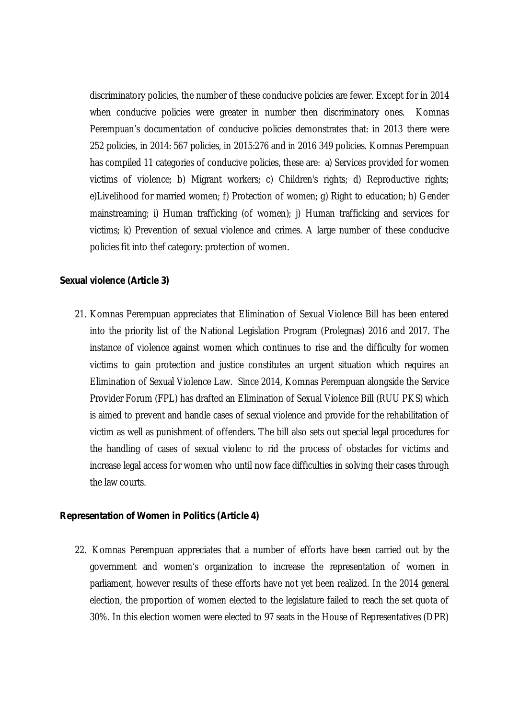discriminatory policies, the number of these conducive policies are fewer. Except for in 2014 when conducive policies were greater in number then discriminatory ones. Komnas Perempuan's documentation of conducive policies demonstrates that: in 2013 there were 252 policies, in 2014: 567 policies, in 2015:276 and in 2016 349 policies. Komnas Perempuan has compiled 11 categories of conducive policies, these are: a) Services provided for women victims of violence; b) Migrant workers; c) Children's rights; d) Reproductive rights; e)Livelihood for married women; f) Protection of women; g) Right to education; h) Gender mainstreaming; i) Human trafficking (of women); j) Human trafficking and services for victims; k) Prevention of sexual violence and crimes. A large number of these conducive policies fit into thef category: protection of women.

#### *Sexual violence (Article 3)*

21. Komnas Perempuan appreciates that Elimination of Sexual Violence Bill has been entered into the priority list of the National Legislation Program (Prolegnas) 2016 and 2017. The instance of violence against women which continues to rise and the difficulty for women victims to gain protection and justice constitutes an urgent situation which requires an Elimination of Sexual Violence Law. Since 2014, Komnas Perempuan alongside the Service Provider Forum (FPL) has drafted an Elimination of Sexual Violence Bill (RUU PKS) which is aimed to prevent and handle cases of sexual violence and provide for the rehabilitation of victim as well as punishment of offenders. The bill also sets out special legal procedures for the handling of cases of sexual violenc to rid the process of obstacles for victims and increase legal access for women who until now face difficulties in solving their cases through the law courts.

#### *Representation of Women in Politics (Article 4)*

22. Komnas Perempuan appreciates that a number of efforts have been carried out by the government and women's organization to increase the representation of women in parliament, however results of these efforts have not yet been realized. In the 2014 general election, the proportion of women elected to the legislature failed to reach the set quota of 30%. In this election women were elected to 97 seats in the House of Representatives (DPR)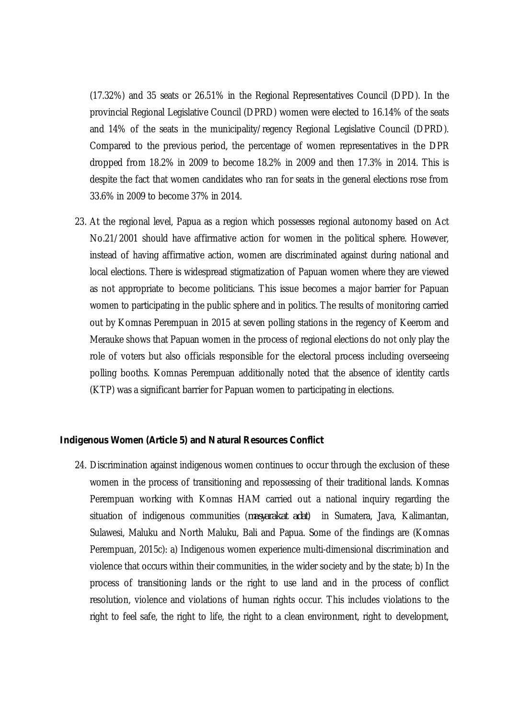(17.32%) and 35 seats or 26.51% in the Regional Representatives Council (DPD). In the provincial Regional Legislative Council (DPRD) women were elected to 16.14% of the seats and 14% of the seats in the municipality/regency Regional Legislative Council (DPRD). Compared to the previous period, the percentage of women representatives in the DPR dropped from 18.2% in 2009 to become 18.2% in 2009 and then 17.3% in 2014. This is despite the fact that women candidates who ran for seats in the general elections rose from 33.6% in 2009 to become 37% in 2014.

23. At the regional level, Papua as a region which possesses regional autonomy based on Act No.21/2001 should have affirmative action for women in the political sphere. However, instead of having affirmative action, women are discriminated against during national and local elections. There is widespread stigmatization of Papuan women where they are viewed as not appropriate to become politicians. This issue becomes a major barrier for Papuan women to participating in the public sphere and in politics. The results of monitoring carried out by Komnas Perempuan in 2015 at seven polling stations in the regency of Keerom and Merauke shows that Papuan women in the process of regional elections do not only play the role of voters but also officials responsible for the electoral process including overseeing polling booths. Komnas Perempuan additionally noted that the absence of identity cards (KTP) was a significant barrier for Papuan women to participating in elections.

#### *Indigenous Women (Article 5) and Natural Resources Conflict*

24. Discrimination against indigenous women continues to occur through the exclusion of these women in the process of transitioning and repossessing of their traditional lands. Komnas Perempuan working with Komnas HAM carried out a national inquiry regarding the situation of indigenous communities (*masyarakat adat*) in Sumatera, Java, Kalimantan, Sulawesi, Maluku and North Maluku, Bali and Papua. Some of the findings are (Komnas Perempuan, 2015c): a) Indigenous women experience multi-dimensional discrimination and violence that occurs within their communities, in the wider society and by the state; b) In the process of transitioning lands or the right to use land and in the process of conflict resolution, violence and violations of human rights occur. This includes violations to the right to feel safe, the right to life, the right to a clean environment, right to development,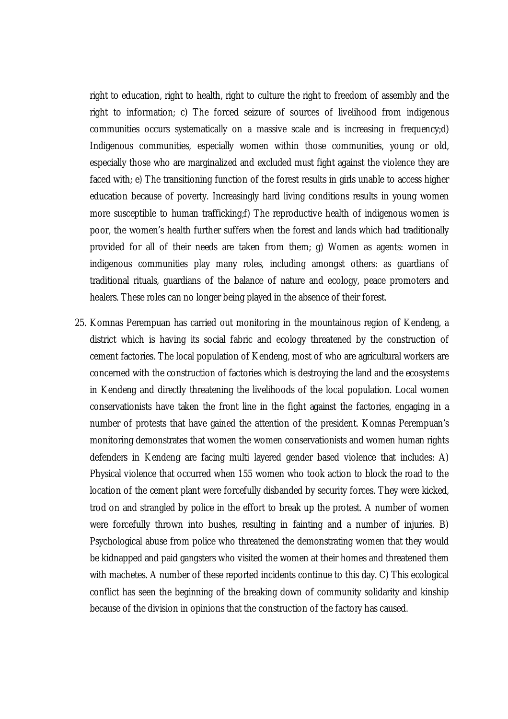right to education, right to health, right to culture the right to freedom of assembly and the right to information; c) The forced seizure of sources of livelihood from indigenous communities occurs systematically on a massive scale and is increasing in frequency;d) Indigenous communities, especially women within those communities, young or old, especially those who are marginalized and excluded must fight against the violence they are faced with; e) The transitioning function of the forest results in girls unable to access higher education because of poverty. Increasingly hard living conditions results in young women more susceptible to human trafficking;f) The reproductive health of indigenous women is poor, the women's health further suffers when the forest and lands which had traditionally provided for all of their needs are taken from them; g) Women as agents: women in indigenous communities play many roles, including amongst others: as guardians of traditional rituals, guardians of the balance of nature and ecology, peace promoters and healers. These roles can no longer being played in the absence of their forest.

25. Komnas Perempuan has carried out monitoring in the mountainous region of Kendeng, a district which is having its social fabric and ecology threatened by the construction of cement factories. The local population of Kendeng, most of who are agricultural workers are concerned with the construction of factories which is destroying the land and the ecosystems in Kendeng and directly threatening the livelihoods of the local population. Local women conservationists have taken the front line in the fight against the factories, engaging in a number of protests that have gained the attention of the president. Komnas Perempuan's monitoring demonstrates that women the women conservationists and women human rights defenders in Kendeng are facing multi layered gender based violence that includes: A) Physical violence that occurred when 155 women who took action to block the road to the location of the cement plant were forcefully disbanded by security forces. They were kicked, trod on and strangled by police in the effort to break up the protest. A number of women were forcefully thrown into bushes, resulting in fainting and a number of injuries. B) Psychological abuse from police who threatened the demonstrating women that they would be kidnapped and paid gangsters who visited the women at their homes and threatened them with machetes. A number of these reported incidents continue to this day. C) This ecological conflict has seen the beginning of the breaking down of community solidarity and kinship because of the division in opinions that the construction of the factory has caused.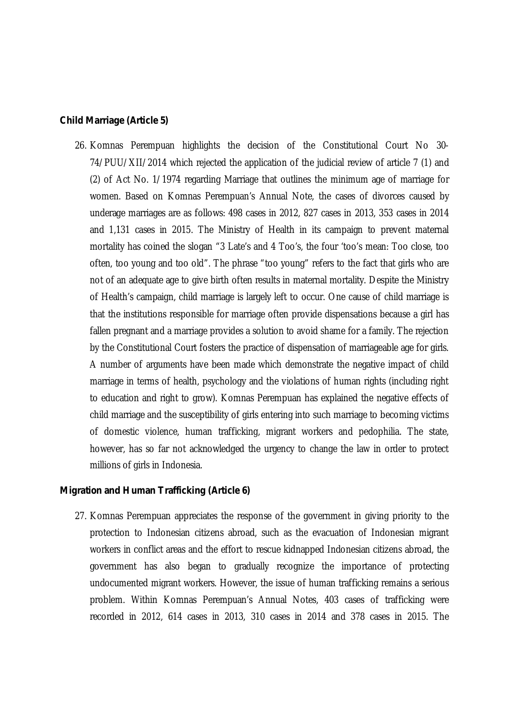#### *Child Marriage (Article 5)*

26. Komnas Perempuan highlights the decision of the Constitutional Court No 30- 74/PUU/XII/2014 which rejected the application of the judicial review of article 7 (1) and (2) of Act No. 1/1974 regarding Marriage that outlines the minimum age of marriage for women. Based on Komnas Perempuan's Annual Note, the cases of divorces caused by underage marriages are as follows: 498 cases in 2012, 827 cases in 2013, 353 cases in 2014 and 1,131 cases in 2015. The Ministry of Health in its campaign to prevent maternal mortality has coined the slogan "3 Late's and 4 Too's, the four 'too's mean: Too close, too often, too young and too old". The phrase "too young" refers to the fact that girls who are not of an adequate age to give birth often results in maternal mortality. Despite the Ministry of Health's campaign, child marriage is largely left to occur. One cause of child marriage is that the institutions responsible for marriage often provide dispensations because a girl has fallen pregnant and a marriage provides a solution to avoid shame for a family. The rejection by the Constitutional Court fosters the practice of dispensation of marriageable age for girls. A number of arguments have been made which demonstrate the negative impact of child marriage in terms of health, psychology and the violations of human rights (including right to education and right to grow). Komnas Perempuan has explained the negative effects of child marriage and the susceptibility of girls entering into such marriage to becoming victims of domestic violence, human trafficking, migrant workers and pedophilia. The state, however, has so far not acknowledged the urgency to change the law in order to protect millions of girls in Indonesia.

#### *Migration and Human Trafficking (Article 6)*

27. Komnas Perempuan appreciates the response of the government in giving priority to the protection to Indonesian citizens abroad, such as the evacuation of Indonesian migrant workers in conflict areas and the effort to rescue kidnapped Indonesian citizens abroad, the government has also began to gradually recognize the importance of protecting undocumented migrant workers. However, the issue of human trafficking remains a serious problem. Within Komnas Perempuan's Annual Notes, 403 cases of trafficking were recorded in 2012, 614 cases in 2013, 310 cases in 2014 and 378 cases in 2015. The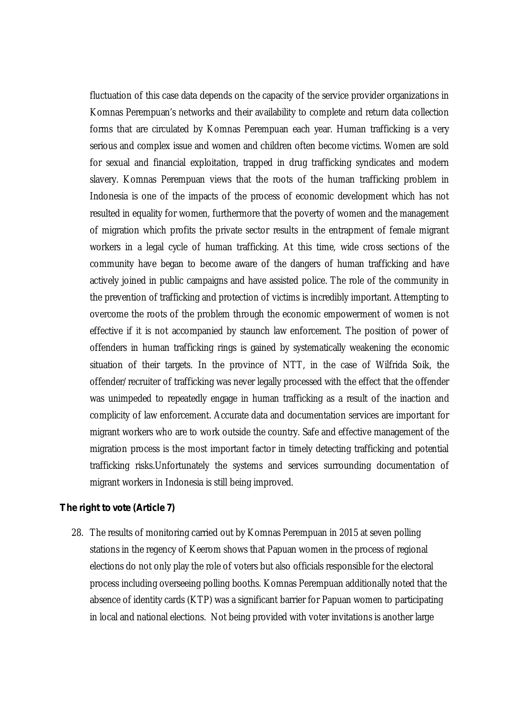fluctuation of this case data depends on the capacity of the service provider organizations in Komnas Perempuan's networks and their availability to complete and return data collection forms that are circulated by Komnas Perempuan each year. Human trafficking is a very serious and complex issue and women and children often become victims. Women are sold for sexual and financial exploitation, trapped in drug trafficking syndicates and modern slavery. Komnas Perempuan views that the roots of the human trafficking problem in Indonesia is one of the impacts of the process of economic development which has not resulted in equality for women, furthermore that the poverty of women and the management of migration which profits the private sector results in the entrapment of female migrant workers in a legal cycle of human trafficking. At this time, wide cross sections of the community have began to become aware of the dangers of human trafficking and have actively joined in public campaigns and have assisted police. The role of the community in the prevention of trafficking and protection of victims is incredibly important. Attempting to overcome the roots of the problem through the economic empowerment of women is not effective if it is not accompanied by staunch law enforcement. The position of power of offenders in human trafficking rings is gained by systematically weakening the economic situation of their targets. In the province of NTT, in the case of Wilfrida Soik, the offender/recruiter of trafficking was never legally processed with the effect that the offender was unimpeded to repeatedly engage in human trafficking as a result of the inaction and complicity of law enforcement. Accurate data and documentation services are important for migrant workers who are to work outside the country. Safe and effective management of the migration process is the most important factor in timely detecting trafficking and potential trafficking risks.Unfortunately the systems and services surrounding documentation of migrant workers in Indonesia is still being improved.

#### *The right to vote (Article 7)*

28. The results of monitoring carried out by Komnas Perempuan in 2015 at seven polling stations in the regency of Keerom shows that Papuan women in the process of regional elections do not only play the role of voters but also officials responsible for the electoral process including overseeing polling booths. Komnas Perempuan additionally noted that the absence of identity cards (KTP) was a significant barrier for Papuan women to participating in local and national elections. Not being provided with voter invitations is another large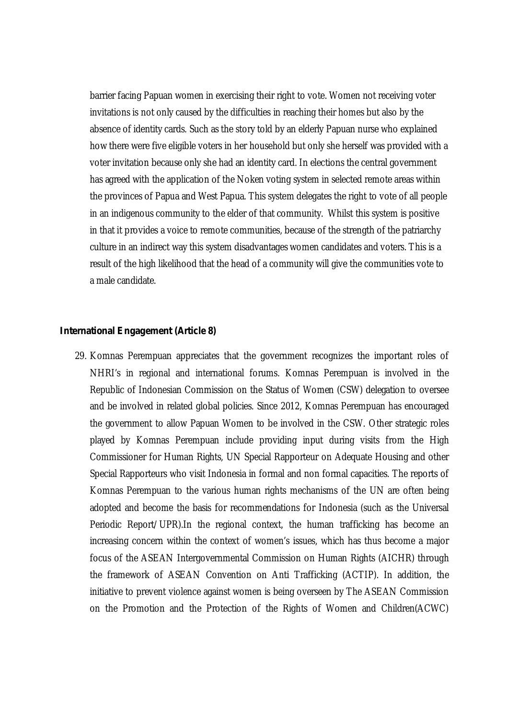barrier facing Papuan women in exercising their right to vote. Women not receiving voter invitations is not only caused by the difficulties in reaching their homes but also by the absence of identity cards. Such as the story told by an elderly Papuan nurse who explained how there were five eligible voters in her household but only she herself was provided with a voter invitation because only she had an identity card. In elections the central government has agreed with the application of the Noken voting system in selected remote areas within the provinces of Papua and West Papua. This system delegates the right to vote of all people in an indigenous community to the elder of that community. Whilst this system is positive in that it provides a voice to remote communities, because of the strength of the patriarchy culture in an indirect way this system disadvantages women candidates and voters. This is a result of the high likelihood that the head of a community will give the communities vote to a male candidate.

#### *International Engagement (Article 8)*

29. Komnas Perempuan appreciates that the government recognizes the important roles of NHRI's in regional and international forums. Komnas Perempuan is involved in the Republic of Indonesian Commission on the Status of Women (CSW) delegation to oversee and be involved in related global policies. Since 2012, Komnas Perempuan has encouraged the government to allow Papuan Women to be involved in the CSW. Other strategic roles played by Komnas Perempuan include providing input during visits from the High Commissioner for Human Rights, UN Special Rapporteur on Adequate Housing and other Special Rapporteurs who visit Indonesia in formal and non formal capacities. The reports of Komnas Perempuan to the various human rights mechanisms of the UN are often being adopted and become the basis for recommendations for Indonesia (such as the Universal Periodic Report/UPR).In the regional context, the human trafficking has become an increasing concern within the context of women's issues, which has thus become a major focus of the ASEAN Intergovernmental Commission on Human Rights (AICHR) through the framework of ASEAN Convention on Anti Trafficking (ACTIP). In addition, the initiative to prevent violence against women is being overseen by The ASEAN Commission on the Promotion and the Protection of the Rights of Women and Children(ACWC)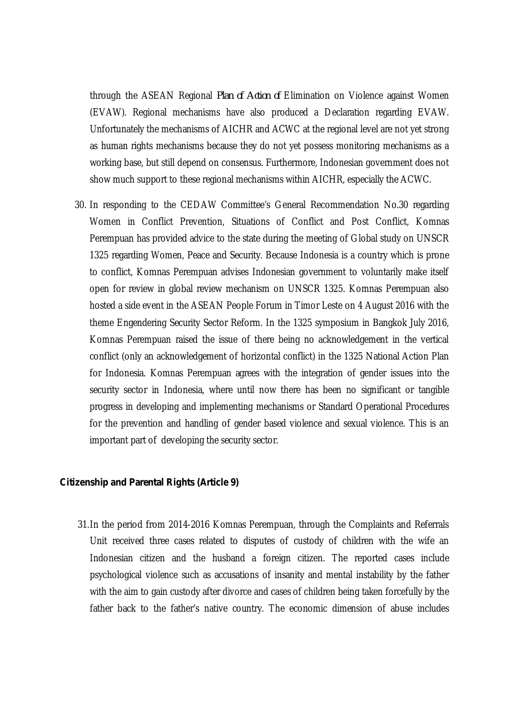through the ASEAN Regional *Plan of Action of* Elimination on Violence against Women (EVAW). Regional mechanisms have also produced a Declaration regarding EVAW. Unfortunately the mechanisms of AICHR and ACWC at the regional level are not yet strong as human rights mechanisms because they do not yet possess monitoring mechanisms as a working base, but still depend on consensus. Furthermore, Indonesian government does not show much support to these regional mechanisms within AICHR, especially the ACWC.

30. In responding to the CEDAW Committee's General Recommendation No.30 regarding Women in Conflict Prevention, Situations of Conflict and Post Conflict, Komnas Perempuan has provided advice to the state during the meeting of Global study on UNSCR 1325 regarding Women, Peace and Security. Because Indonesia is a country which is prone to conflict, Komnas Perempuan advises Indonesian government to voluntarily make itself open for review in global review mechanism on UNSCR 1325. Komnas Perempuan also hosted a side event in the ASEAN People Forum in Timor Leste on 4 August 2016 with the theme Engendering Security Sector Reform. In the 1325 symposium in Bangkok July 2016, Komnas Perempuan raised the issue of there being no acknowledgement in the vertical conflict (only an acknowledgement of horizontal conflict) in the 1325 National Action Plan for Indonesia. Komnas Perempuan agrees with the integration of gender issues into the security sector in Indonesia, where until now there has been no significant or tangible progress in developing and implementing mechanisms or Standard Operational Procedures for the prevention and handling of gender based violence and sexual violence. This is an important part of developing the security sector.

#### *Citizenship and Parental Rights (Article 9)*

31.In the period from 2014-2016 Komnas Perempuan, through the Complaints and Referrals Unit received three cases related to disputes of custody of children with the wife an Indonesian citizen and the husband a foreign citizen. The reported cases include psychological violence such as accusations of insanity and mental instability by the father with the aim to gain custody after divorce and cases of children being taken forcefully by the father back to the father's native country. The economic dimension of abuse includes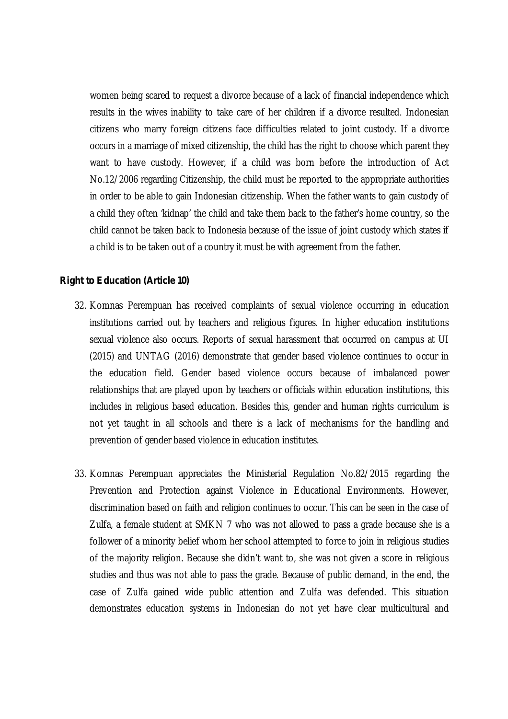women being scared to request a divorce because of a lack of financial independence which results in the wives inability to take care of her children if a divorce resulted. Indonesian citizens who marry foreign citizens face difficulties related to joint custody. If a divorce occurs in a marriage of mixed citizenship, the child has the right to choose which parent they want to have custody. However, if a child was born before the introduction of Act No.12/2006 regarding Citizenship, the child must be reported to the appropriate authorities in order to be able to gain Indonesian citizenship. When the father wants to gain custody of a child they often 'kidnap' the child and take them back to the father's home country, so the child cannot be taken back to Indonesia because of the issue of joint custody which states if a child is to be taken out of a country it must be with agreement from the father.

#### *Right to Education (Article 10)*

- 32. Komnas Perempuan has received complaints of sexual violence occurring in education institutions carried out by teachers and religious figures. In higher education institutions sexual violence also occurs. Reports of sexual harassment that occurred on campus at UI (2015) and UNTAG (2016) demonstrate that gender based violence continues to occur in the education field. Gender based violence occurs because of imbalanced power relationships that are played upon by teachers or officials within education institutions, this includes in religious based education. Besides this, gender and human rights curriculum is not yet taught in all schools and there is a lack of mechanisms for the handling and prevention of gender based violence in education institutes.
- 33. Komnas Perempuan appreciates the Ministerial Regulation No.82/2015 regarding the Prevention and Protection against Violence in Educational Environments. However, discrimination based on faith and religion continues to occur. This can be seen in the case of Zulfa, a female student at SMKN 7 who was not allowed to pass a grade because she is a follower of a minority belief whom her school attempted to force to join in religious studies of the majority religion. Because she didn't want to, she was not given a score in religious studies and thus was not able to pass the grade. Because of public demand, in the end, the case of Zulfa gained wide public attention and Zulfa was defended. This situation demonstrates education systems in Indonesian do not yet have clear multicultural and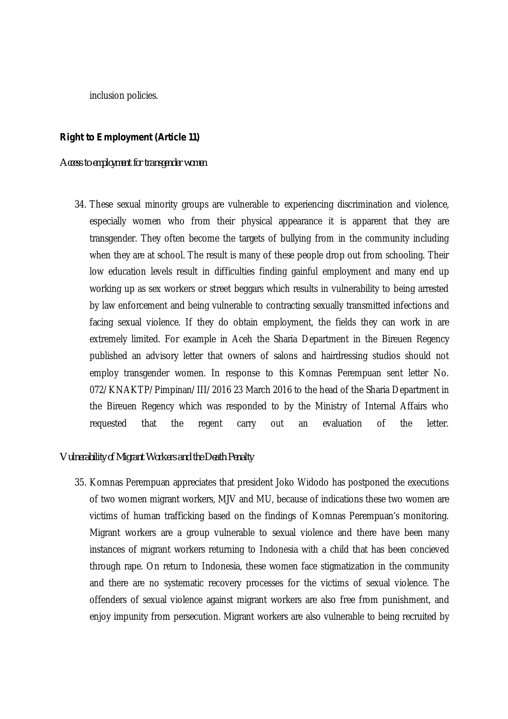inclusion policies.

#### *Right to Employment (Article 11)*

*Access to employment for transgender women*

34. These sexual minority groups are vulnerable to experiencing discrimination and violence, especially women who from their physical appearance it is apparent that they are transgender. They often become the targets of bullying from in the community including when they are at school. The result is many of these people drop out from schooling. Their low education levels result in difficulties finding gainful employment and many end up working up as sex workers or street beggars which results in vulnerability to being arrested by law enforcement and being vulnerable to contracting sexually transmitted infections and facing sexual violence. If they do obtain employment, the fields they can work in are extremely limited. For example in Aceh the Sharia Department in the Bireuen Regency published an advisory letter that owners of salons and hairdressing studios should not employ transgender women. In response to this Komnas Perempuan sent letter No. 072/KNAKTP/Pimpinan/III/2016 23 March 2016 to the head of the Sharia Department in the Bireuen Regency which was responded to by the Ministry of Internal Affairs who requested that the regent carry out an evaluation of the letter.

#### *Vulnerability of Migrant Workers and the Death Penalty*

35. Komnas Perempuan appreciates that president Joko Widodo has postponed the executions of two women migrant workers, MJV and MU, because of indications these two women are victims of human trafficking based on the findings of Komnas Perempuan's monitoring. Migrant workers are a group vulnerable to sexual violence and there have been many instances of migrant workers returning to Indonesia with a child that has been concieved through rape. On return to Indonesia, these women face stigmatization in the community and there are no systematic recovery processes for the victims of sexual violence. The offenders of sexual violence against migrant workers are also free from punishment, and enjoy impunity from persecution. Migrant workers are also vulnerable to being recruited by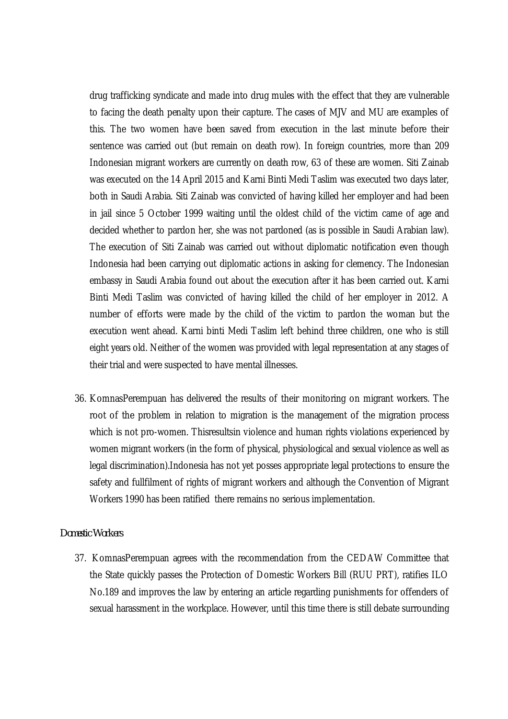drug trafficking syndicate and made into drug mules with the effect that they are vulnerable to facing the death penalty upon their capture. The cases of MJV and MU are examples of this. The two women have been saved from execution in the last minute before their sentence was carried out (but remain on death row). In foreign countries, more than 209 Indonesian migrant workers are currently on death row, 63 of these are women. Siti Zainab was executed on the 14 April 2015 and Karni Binti Medi Taslim was executed two days later, both in Saudi Arabia. Siti Zainab was convicted of having killed her employer and had been in jail since 5 October 1999 waiting until the oldest child of the victim came of age and decided whether to pardon her, she was not pardoned (as is possible in Saudi Arabian law). The execution of Siti Zainab was carried out without diplomatic notification even though Indonesia had been carrying out diplomatic actions in asking for clemency. The Indonesian embassy in Saudi Arabia found out about the execution after it has been carried out. Karni Binti Medi Taslim was convicted of having killed the child of her employer in 2012. A number of efforts were made by the child of the victim to pardon the woman but the execution went ahead. Karni binti Medi Taslim left behind three children, one who is still eight years old. Neither of the women was provided with legal representation at any stages of their trial and were suspected to have mental illnesses.

36. KomnasPerempuan has delivered the results of their monitoring on migrant workers. The root of the problem in relation to migration is the management of the migration process which is not pro-women. Thisresultsin violence and human rights violations experienced by women migrant workers (in the form of physical, physiological and sexual violence as well as legal discrimination).Indonesia has not yet posses appropriate legal protections to ensure the safety and fullfilment of rights of migrant workers and although the Convention of Migrant Workers 1990 has been ratified there remains no serious implementation.

#### *Domestic Workers*

37. KomnasPerempuan agrees with the recommendation from the CEDAW Committee that the State quickly passes the Protection of Domestic Workers Bill (RUU PRT), ratifies ILO No.189 and improves the law by entering an article regarding punishments for offenders of sexual harassment in the workplace. However, until this time there is still debate surrounding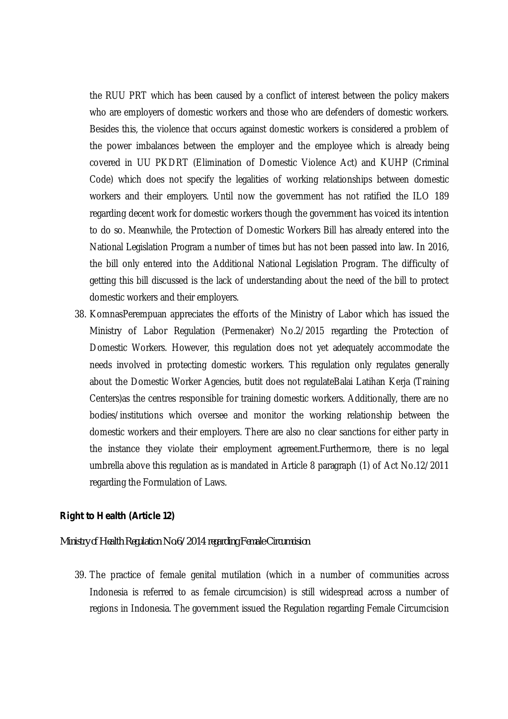the RUU PRT which has been caused by a conflict of interest between the policy makers who are employers of domestic workers and those who are defenders of domestic workers. Besides this, the violence that occurs against domestic workers is considered a problem of the power imbalances between the employer and the employee which is already being covered in UU PKDRT (Elimination of Domestic Violence Act) and KUHP (Criminal Code) which does not specify the legalities of working relationships between domestic workers and their employers. Until now the government has not ratified the ILO 189 regarding decent work for domestic workers though the government has voiced its intention to do so. Meanwhile, the Protection of Domestic Workers Bill has already entered into the National Legislation Program a number of times but has not been passed into law. In 2016, the bill only entered into the Additional National Legislation Program. The difficulty of getting this bill discussed is the lack of understanding about the need of the bill to protect domestic workers and their employers.

38. KomnasPerempuan appreciates the efforts of the Ministry of Labor which has issued the Ministry of Labor Regulation (Permenaker) No.2/2015 regarding the Protection of Domestic Workers. However, this regulation does not yet adequately accommodate the needs involved in protecting domestic workers. This regulation only regulates generally about the Domestic Worker Agencies, butit does not regulateBalai Latihan Kerja (Training Centers)as the centres responsible for training domestic workers. Additionally, there are no bodies/institutions which oversee and monitor the working relationship between the domestic workers and their employers. There are also no clear sanctions for either party in the instance they violate their employment agreement.Furthermore, there is no legal umbrella above this regulation as is mandated in Article 8 paragraph (1) of Act No.12/2011 regarding the Formulation of Laws.

#### *Right to Health (Article 12)*

#### *Ministry of Health Regulation No.6/2014 regarding Female Circumcision*

39. The practice of female genital mutilation (which in a number of communities across Indonesia is referred to as female circumcision) is still widespread across a number of regions in Indonesia. The government issued the Regulation regarding Female Circumcision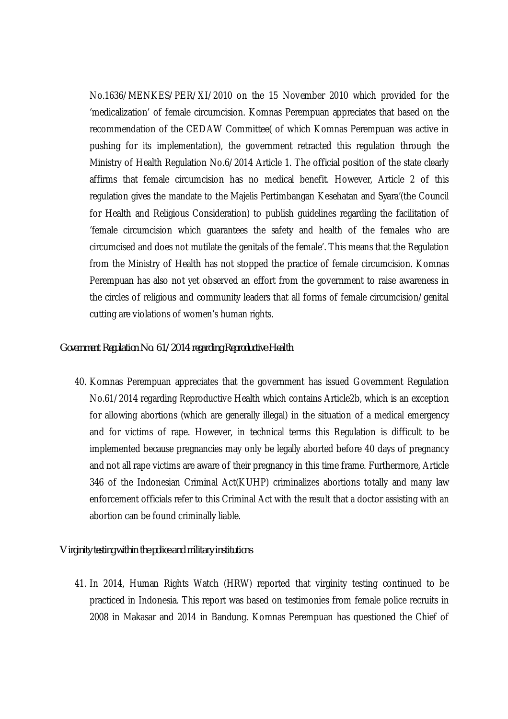No.1636/MENKES/PER/XI/2010 on the 15 November 2010 which provided for the 'medicalization' of female circumcision. Komnas Perempuan appreciates that based on the recommendation of the CEDAW Committee( of which Komnas Perempuan was active in pushing for its implementation), the government retracted this regulation through the Ministry of Health Regulation No.6/2014 Article 1. The official position of the state clearly affirms that female circumcision has no medical benefit. However, Article 2 of this regulation gives the mandate to the Majelis Pertimbangan Kesehatan and Syara'(the Council for Health and Religious Consideration) to publish guidelines regarding the facilitation of 'female circumcision which guarantees the safety and health of the females who are circumcised and does not mutilate the genitals of the female'. This means that the Regulation from the Ministry of Health has not stopped the practice of female circumcision. Komnas Perempuan has also not yet observed an effort from the government to raise awareness in the circles of religious and community leaders that all forms of female circumcision/genital cutting are violations of women's human rights.

#### *Government Regulation No. 61/2014 regarding Reproductive Health*

40. Komnas Perempuan appreciates that the government has issued Government Regulation No.61/2014 regarding Reproductive Health which contains Article2b, which is an exception for allowing abortions (which are generally illegal) in the situation of a medical emergency and for victims of rape. However, in technical terms this Regulation is difficult to be implemented because pregnancies may only be legally aborted before 40 days of pregnancy and not all rape victims are aware of their pregnancy in this time frame. Furthermore, Article 346 of the Indonesian Criminal Act(KUHP) criminalizes abortions totally and many law enforcement officials refer to this Criminal Act with the result that a doctor assisting with an abortion can be found criminally liable.

#### *Virginity testing within the police and military institutions*

41. In 2014, Human Rights Watch (HRW) reported that virginity testing continued to be practiced in Indonesia. This report was based on testimonies from female police recruits in 2008 in Makasar and 2014 in Bandung. Komnas Perempuan has questioned the Chief of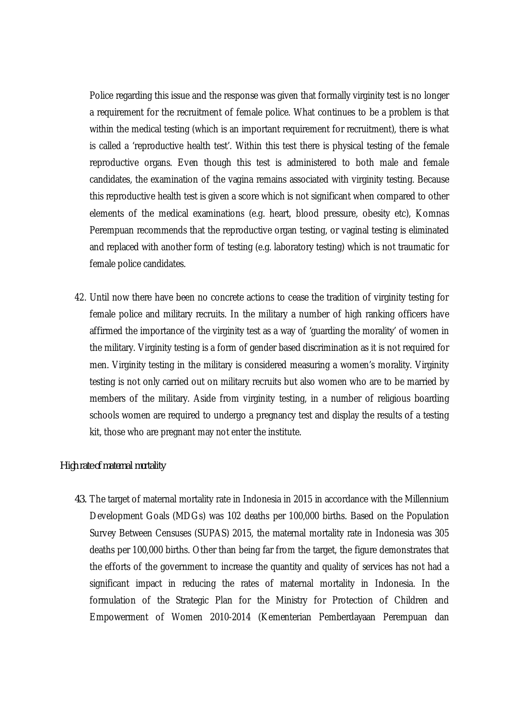Police regarding this issue and the response was given that formally virginity test is no longer a requirement for the recruitment of female police. What continues to be a problem is that within the medical testing (which is an important requirement for recruitment), there is what is called a 'reproductive health test'. Within this test there is physical testing of the female reproductive organs. Even though this test is administered to both male and female candidates, the examination of the vagina remains associated with virginity testing. Because this reproductive health test is given a score which is not significant when compared to other elements of the medical examinations (e.g. heart, blood pressure, obesity etc), Komnas Perempuan recommends that the reproductive organ testing, or vaginal testing is eliminated and replaced with another form of testing (e.g. laboratory testing) which is not traumatic for female police candidates.

42. Until now there have been no concrete actions to cease the tradition of virginity testing for female police and military recruits. In the military a number of high ranking officers have affirmed the importance of the virginity test as a way of 'guarding the morality' of women in the military. Virginity testing is a form of gender based discrimination as it is not required for men. Virginity testing in the military is considered measuring a women's morality. Virginity testing is not only carried out on military recruits but also women who are to be married by members of the military. Aside from virginity testing, in a number of religious boarding schools women are required to undergo a pregnancy test and display the results of a testing kit, those who are pregnant may not enter the institute.

#### *High rate of maternal mortality*

*43.* The target of maternal mortality rate in Indonesia in 2015 in accordance with the Millennium Development Goals (MDGs) was 102 deaths per 100,000 births. Based on the Population Survey Between Censuses (SUPAS) 2015, the maternal mortality rate in Indonesia was 305 deaths per 100,000 births. Other than being far from the target, the figure demonstrates that the efforts of the government to increase the quantity and quality of services has not had a significant impact in reducing the rates of maternal mortality in Indonesia. In the formulation of the Strategic Plan for the Ministry for Protection of Children and Empowerment of Women 2010-2014 (Kementerian Pemberdayaan Perempuan dan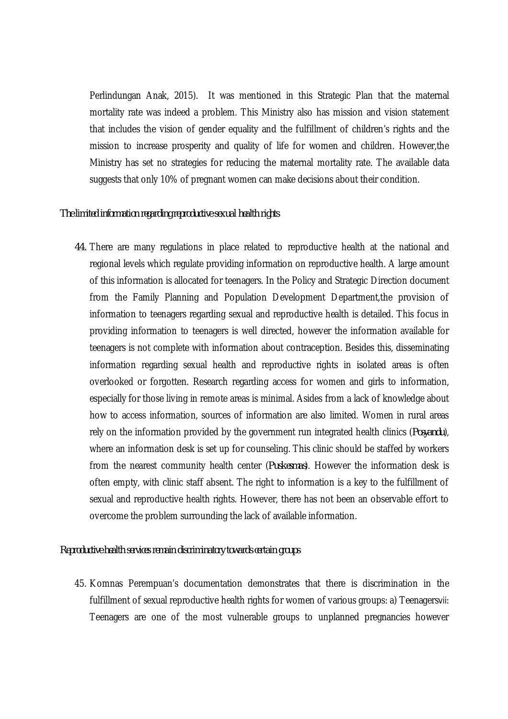Perlindungan Anak, 2015). It was mentioned in this Strategic Plan that the maternal mortality rate was indeed a problem. This Ministry also has mission and vision statement that includes the vision of gender equality and the fulfillment of children's rights and the mission to increase prosperity and quality of life for women and children. However,the Ministry has set no strategies for reducing the maternal mortality rate. The available data suggests that only 10% of pregnant women can make decisions about their condition.

#### *The limited information regarding reproductive sexual health rights*

*44.* There are many regulations in place related to reproductive health at the national and regional levels which regulate providing information on reproductive health. A large amount of this information is allocated for teenagers. In the Policy and Strategic Direction document from the Family Planning and Population Development Department,the provision of information to teenagers regarding sexual and reproductive health is detailed. This focus in providing information to teenagers is well directed, however the information available for teenagers is not complete with information about contraception. Besides this, disseminating information regarding sexual health and reproductive rights in isolated areas is often overlooked or forgotten. Research regarding access for women and girls to information, especially for those living in remote areas is minimal. Asides from a lack of knowledge about how to access information, sources of information are also limited. Women in rural areas rely on the information provided by the government run integrated health clinics (*Posyandu*), where an information desk is set up for counseling. This clinic should be staffed by workers from the nearest community health center (*Puskesmas*). However the information desk is often empty, with clinic staff absent. The right to information is a key to the fulfillment of sexual and reproductive health rights. However, there has not been an observable effort to overcome the problem surrounding the lack of available information.

#### *Reproductive health services remain discriminatory towards certain groups*

45. Komnas Perempuan's documentation demonstrates that there is discrimination in the fulfillment of sexual reproductive health rights for women of various groups: a) Teenagersvii: Teenagers are one of the most vulnerable groups to unplanned pregnancies however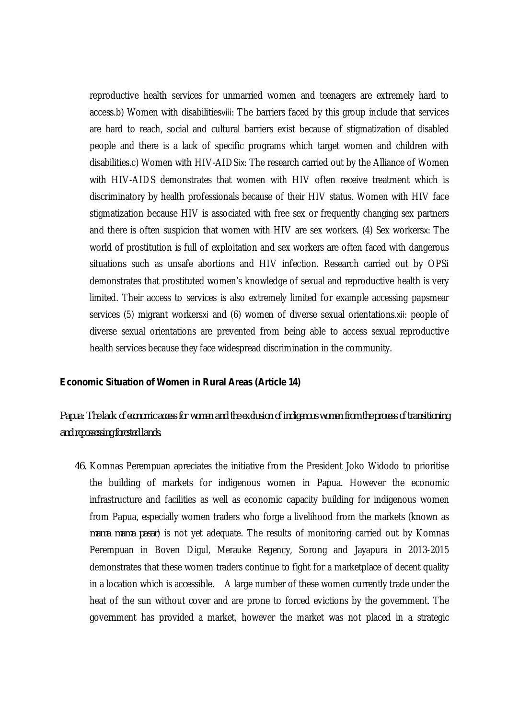reproductive health services for unmarried women and teenagers are extremely hard to access.b) Women with disabilitiesviii: The barriers faced by this group include that services are hard to reach, social and cultural barriers exist because of stigmatization of disabled people and there is a lack of specific programs which target women and children with disabilities.c) Women with HIV-AIDSix: The research carried out by the Alliance of Women with HIV-AIDS demonstrates that women with HIV often receive treatment which is discriminatory by health professionals because of their HIV status. Women with HIV face stigmatization because HIV is associated with free sex or frequently changing sex partners and there is often suspicion that women with HIV are sex workers. (4) Sex workersx: The world of prostitution is full of exploitation and sex workers are often faced with dangerous situations such as unsafe abortions and HIV infection. Research carried out by OPSi demonstrates that prostituted women's knowledge of sexual and reproductive health is very limited. Their access to services is also extremely limited for example accessing papsmear services (5) migrant workersxi and (6) women of diverse sexual orientations.xii: people of diverse sexual orientations are prevented from being able to access sexual reproductive health services because they face widespread discrimination in the community.

#### *Economic Situation of Women in Rural Areas (Article 14)*

*Papua: The lack of economic access for women and the exclusion of indigenous women from the process of transitioning and repossessing forested lands.*

*46.* Komnas Perempuan apreciates the initiative from the President Joko Widodo to prioritise the building of markets for indigenous women in Papua. However the economic infrastructure and facilities as well as economic capacity building for indigenous women from Papua, especially women traders who forge a livelihood from the markets (known as *mama mama pasar*) is not yet adequate. The results of monitoring carried out by Komnas Perempuan in Boven Digul, Merauke Regency, Sorong and Jayapura in 2013-2015 demonstrates that these women traders continue to fight for a marketplace of decent quality in a location which is accessible. A large number of these women currently trade under the heat of the sun without cover and are prone to forced evictions by the government. The government has provided a market, however the market was not placed in a strategic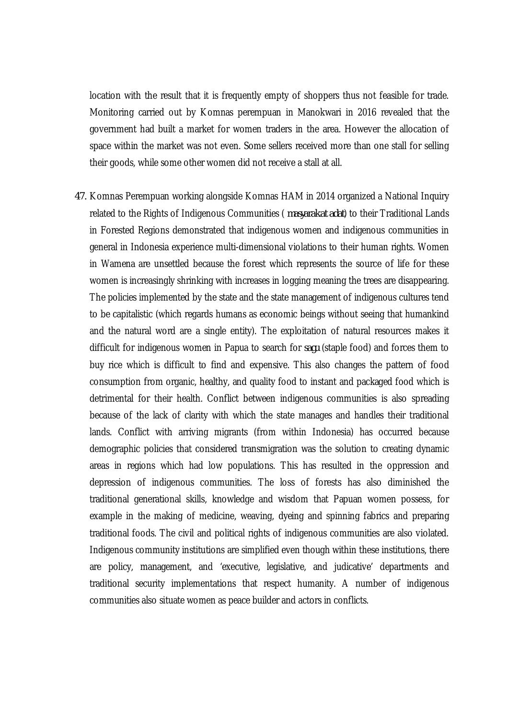location with the result that it is frequently empty of shoppers thus not feasible for trade. Monitoring carried out by Komnas perempuan in Manokwari in 2016 revealed that the government had built a market for women traders in the area. However the allocation of space within the market was not even. Some sellers received more than one stall for selling their goods, while some other women did not receive a stall at all.

*47.* Komnas Perempuan working alongside Komnas HAM in 2014 organized a National Inquiry related to the Rights of Indigenous Communities ( *masyarakat adat*) to their Traditional Lands in Forested Regions demonstrated that indigenous women and indigenous communities in general in Indonesia experience multi-dimensional violations to their human rights. Women in Wamena are unsettled because the forest which represents the source of life for these women is increasingly shrinking with increases in logging meaning the trees are disappearing. The policies implemented by the state and the state management of indigenous cultures tend to be capitalistic (which regards humans as economic beings without seeing that humankind and the natural word are a single entity). The exploitation of natural resources makes it difficult for indigenous women in Papua to search for *sagu* (staple food) and forces them to buy rice which is difficult to find and expensive. This also changes the pattern of food consumption from organic, healthy, and quality food to instant and packaged food which is detrimental for their health. Conflict between indigenous communities is also spreading because of the lack of clarity with which the state manages and handles their traditional lands. Conflict with arriving migrants (from within Indonesia) has occurred because demographic policies that considered transmigration was the solution to creating dynamic areas in regions which had low populations. This has resulted in the oppression and depression of indigenous communities. The loss of forests has also diminished the traditional generational skills, knowledge and wisdom that Papuan women possess, for example in the making of medicine, weaving, dyeing and spinning fabrics and preparing traditional foods. The civil and political rights of indigenous communities are also violated. Indigenous community institutions are simplified even though within these institutions, there are policy, management, and 'executive, legislative, and judicative' departments and traditional security implementations that respect humanity. A number of indigenous communities also situate women as peace builder and actors in conflicts.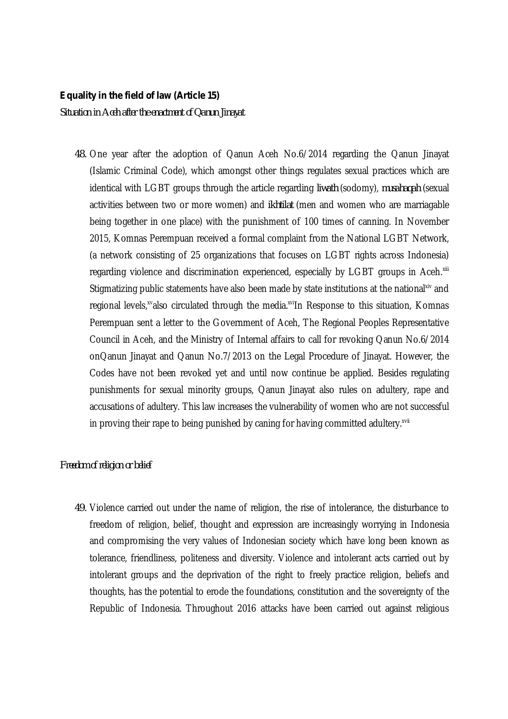#### *Equality in the field of law (Article 15)*

*Situation in Aceh after the enactment of Qanun Jinayat*

*48.* One year after the adoption of Qanun Aceh No.6/2014 regarding the Qanun Jinayat (Islamic Criminal Code), which amongst other things regulates sexual practices which are identical with LGBT groups through the article regarding *liwath* (sodomy), *musahaqah* (sexual activities between two or more women) and *ikhtilat* (men and women who are marriagable being together in one place) with the punishment of 100 times of canning. In November 2015, Komnas Perempuan received a formal complaint from the National LGBT Network, (a network consisting of 25 organizations that focuses on LGBT rights across Indonesia) regarding violence and discrimination experienced, especially by LGBT groups in Aceh.  $x$ ili Stigmatizing public statements have also been made by state institutions at the national<sup>xiv</sup> and regional levels,<sup>xv</sup>also circulated through the media.<sup>xvi</sup>In Response to this situation, Komnas Perempuan sent a letter to the Government of Aceh, The Regional Peoples Representative Council in Aceh, and the Ministry of Internal affairs to call for revoking Qanun No.6/2014 onQanun Jinayat and Qanun No.7/2013 on the Legal Procedure of Jinayat. However, the Codes have not been revoked yet and until now continue be applied. Besides regulating punishments for sexual minority groups, Qanun Jinayat also rules on adultery, rape and accusations of adultery. This law increases the vulnerability of women who are not successful in proving their rape to being punished by caning for having committed adultery.<sup>xvii</sup>

#### *Freedom of religion or belief*

*49.* Violence carried out under the name of religion, the rise of intolerance, the disturbance to freedom of religion, belief, thought and expression are increasingly worrying in Indonesia and compromising the very values of Indonesian society which have long been known as tolerance, friendliness, politeness and diversity. Violence and intolerant acts carried out by intolerant groups and the deprivation of the right to freely practice religion, beliefs and thoughts, has the potential to erode the foundations, constitution and the sovereignty of the Republic of Indonesia. Throughout 2016 attacks have been carried out against religious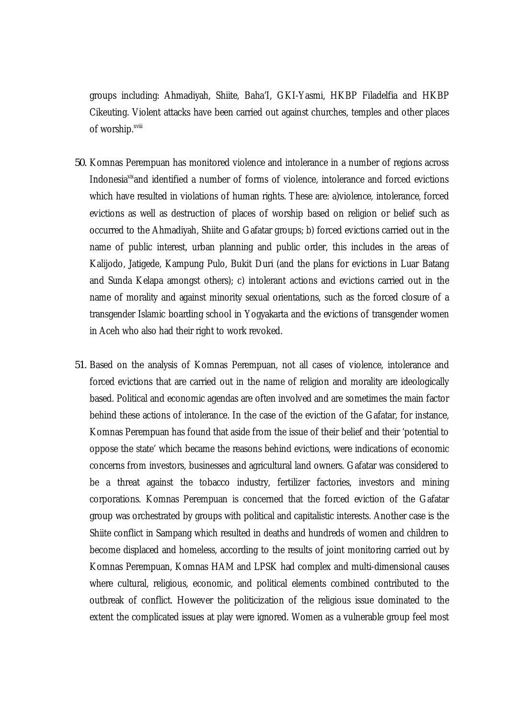groups including: Ahmadiyah, Shiite, Baha'I, GKI-Yasmi, HKBP Filadelfia and HKBP Cikeuting. Violent attacks have been carried out against churches, temples and other places of worship.<sup>xviii</sup>

- *50.* Komnas Perempuan has monitored violence and intolerance in a number of regions across Indonesia $x^k$  and identified a number of forms of violence, intolerance and forced evictions which have resulted in violations of human rights. These are: a)violence, intolerance, forced evictions as well as destruction of places of worship based on religion or belief such as occurred to the Ahmadiyah, Shiite and Gafatar groups; b) forced evictions carried out in the name of public interest, urban planning and public order, this includes in the areas of Kalijodo, Jatigede, Kampung Pulo, Bukit Duri (and the plans for evictions in Luar Batang and Sunda Kelapa amongst others); c) intolerant actions and evictions carried out in the name of morality and against minority sexual orientations, such as the forced closure of a transgender Islamic boarding school in Yogyakarta and the evictions of transgender women in Aceh who also had their right to work revoked.
- *51.* Based on the analysis of Komnas Perempuan, not all cases of violence, intolerance and forced evictions that are carried out in the name of religion and morality are ideologically based. Political and economic agendas are often involved and are sometimes the main factor behind these actions of intolerance. In the case of the eviction of the Gafatar, for instance, Komnas Perempuan has found that aside from the issue of their belief and their 'potential to oppose the state' which became the reasons behind evictions, were indications of economic concerns from investors, businesses and agricultural land owners. Gafatar was considered to be a threat against the tobacco industry, fertilizer factories, investors and mining corporations. Komnas Perempuan is concerned that the forced eviction of the Gafatar group was orchestrated by groups with political and capitalistic interests. Another case is the Shiite conflict in Sampang which resulted in deaths and hundreds of women and children to become displaced and homeless, according to the results of joint monitoring carried out by Komnas Perempuan, Komnas HAM and LPSK had complex and multi-dimensional causes where cultural, religious, economic, and political elements combined contributed to the outbreak of conflict. However the politicization of the religious issue dominated to the extent the complicated issues at play were ignored. Women as a vulnerable group feel most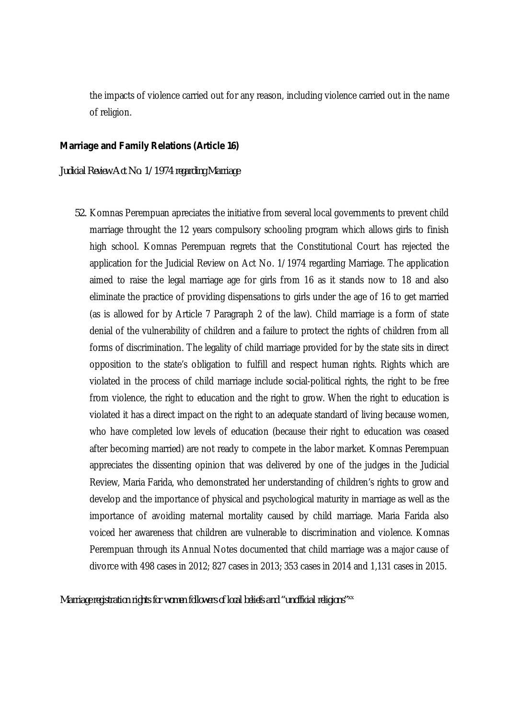the impacts of violence carried out for any reason, including violence carried out in the name of religion.

#### *Marriage and Family Relations (Article 16)*

#### *Judicial Review Act No. 1/1974 regarding Marriage*

*52.* Komnas Perempuan apreciates the initiative from several local governments to prevent child marriage throught the 12 years compulsory schooling program which allows girls to finish high school. Komnas Perempuan regrets that the Constitutional Court has rejected the application for the Judicial Review on Act No. 1/1974 regarding Marriage. The application aimed to raise the legal marriage age for girls from 16 as it stands now to 18 and also eliminate the practice of providing dispensations to girls under the age of 16 to get married (as is allowed for by Article 7 Paragraph 2 of the law). Child marriage is a form of state denial of the vulnerability of children and a failure to protect the rights of children from all forms of discrimination. The legality of child marriage provided for by the state sits in direct opposition to the state's obligation to fulfill and respect human rights. Rights which are violated in the process of child marriage include social-political rights, the right to be free from violence, the right to education and the right to grow. When the right to education is violated it has a direct impact on the right to an adequate standard of living because women, who have completed low levels of education (because their right to education was ceased after becoming married) are not ready to compete in the labor market. Komnas Perempuan appreciates the dissenting opinion that was delivered by one of the judges in the Judicial Review, Maria Farida, who demonstrated her understanding of children's rights to grow and develop and the importance of physical and psychological maturity in marriage as well as the importance of avoiding maternal mortality caused by child marriage. Maria Farida also voiced her awareness that children are vulnerable to discrimination and violence. Komnas Perempuan through its Annual Notes documented that child marriage was a major cause of divorce with 498 cases in 2012; 827 cases in 2013; 353 cases in 2014 and 1,131 cases in 2015.

*Marriage registration rights for women followers of local beliefs and "unofficial religions" xx*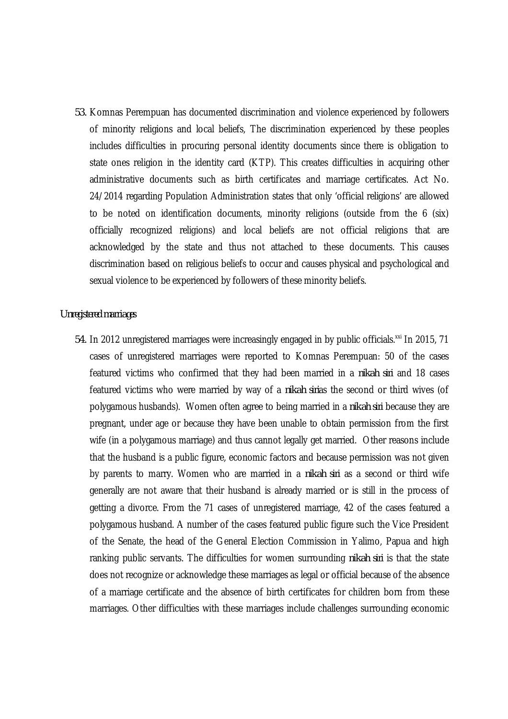*53.* Komnas Perempuan has documented discrimination and violence experienced by followers of minority religions and local beliefs, The discrimination experienced by these peoples includes difficulties in procuring personal identity documents since there is obligation to state ones religion in the identity card (KTP). This creates difficulties in acquiring other administrative documents such as birth certificates and marriage certificates. Act No. 24/2014 regarding Population Administration states that only 'official religions' are allowed to be noted on identification documents, minority religions (outside from the 6 (six) officially recognized religions) and local beliefs are not official religions that are acknowledged by the state and thus not attached to these documents. This causes discrimination based on religious beliefs to occur and causes physical and psychological and sexual violence to be experienced by followers of these minority beliefs.

#### *Unregistered marriages*

54. In 2012 unregistered marriages were increasingly engaged in by public officials.<sup>xxi</sup> In 2015, 71 cases of unregistered marriages were reported to Komnas Perempuan: 50 of the cases featured victims who confirmed that they had been married in a *nikah siri* and 18 cases featured victims who were married by way of a *nikah siri*as the second or third wives (of polygamous husbands). Women often agree to being married in a *nikah siri* because they are pregnant, under age or because they have been unable to obtain permission from the first wife (in a polygamous marriage) and thus cannot legally get married. Other reasons include that the husband is a public figure, economic factors and because permission was not given by parents to marry. Women who are married in a *nikah siri* as a second or third wife generally are not aware that their husband is already married or is still in the process of getting a divorce. From the 71 cases of unregistered marriage, 42 of the cases featured a polygamous husband. A number of the cases featured public figure such the Vice President of the Senate, the head of the General Election Commission in Yalimo, Papua and high ranking public servants. The difficulties for women surrounding *nikah siri* is that the state does not recognize or acknowledge these marriages as legal or official because of the absence of a marriage certificate and the absence of birth certificates for children born from these marriages. Other difficulties with these marriages include challenges surrounding economic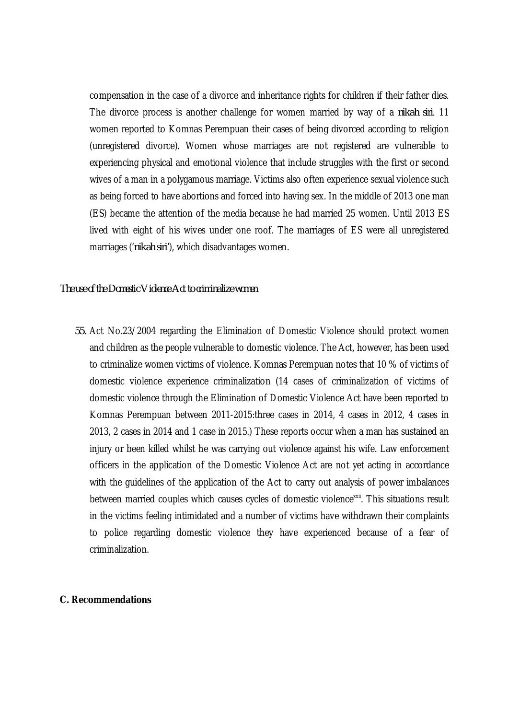compensation in the case of a divorce and inheritance rights for children if their father dies. The divorce process is another challenge for women married by way of a *nikah siri*. 11 women reported to Komnas Perempuan their cases of being divorced according to religion (unregistered divorce). Women whose marriages are not registered are vulnerable to experiencing physical and emotional violence that include struggles with the first or second wives of a man in a polygamous marriage. Victims also often experience sexual violence such as being forced to have abortions and forced into having sex. In the middle of 2013 one man (ES) became the attention of the media because he had married 25 women. Until 2013 ES lived with eight of his wives under one roof. The marriages of ES were all unregistered marriages ('*nikah siri'*), which disadvantages women.

#### *The use of the Domestic Violence Act to criminalize women*

*55.* Act No.23/2004 regarding the Elimination of Domestic Violence should protect women and children as the people vulnerable to domestic violence. The Act, however, has been used to criminalize women victims of violence. Komnas Perempuan notes that 10 % of victims of domestic violence experience criminalization (14 cases of criminalization of victims of domestic violence through the Elimination of Domestic Violence Act have been reported to Komnas Perempuan between 2011-2015:three cases in 2014, 4 cases in 2012, 4 cases in 2013, 2 cases in 2014 and 1 case in 2015.) These reports occur when a man has sustained an injury or been killed whilst he was carrying out violence against his wife. Law enforcement officers in the application of the Domestic Violence Act are not yet acting in accordance with the quidelines of the application of the Act to carry out analysis of power imbalances between married couples which causes cycles of domestic violence<sup>xxii</sup>. This situations result in the victims feeling intimidated and a number of victims have withdrawn their complaints to police regarding domestic violence they have experienced because of a fear of criminalization.

#### **C. Recommendations**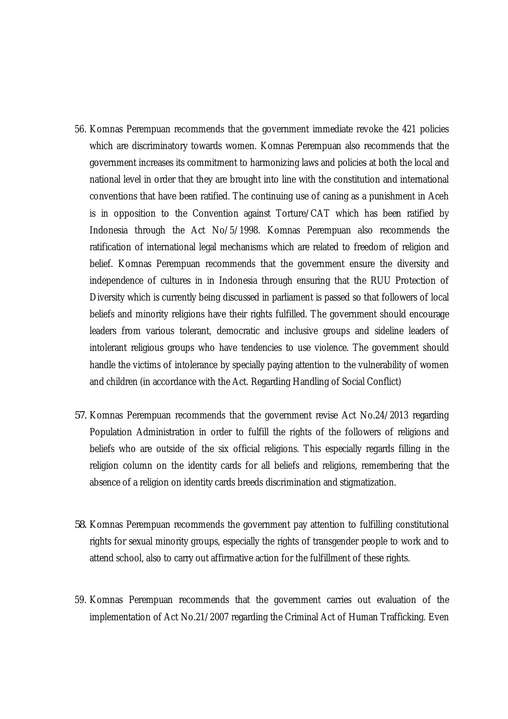- 56. Komnas Perempuan recommends that the government immediate revoke the 421 policies which are discriminatory towards women. Komnas Perempuan also recommends that the government increases its commitment to harmonizing laws and policies at both the local and national level in order that they are brought into line with the constitution and international conventions that have been ratified. The continuing use of caning as a punishment in Aceh is in opposition to the Convention against Torture/CAT which has been ratified by Indonesia through the Act No/5/1998. Komnas Perempuan also recommends the ratification of international legal mechanisms which are related to freedom of religion and belief. Komnas Perempuan recommends that the government ensure the diversity and independence of cultures in in Indonesia through ensuring that the RUU Protection of Diversity which is currently being discussed in parliament is passed so that followers of local beliefs and minority religions have their rights fulfilled. The government should encourage leaders from various tolerant, democratic and inclusive groups and sideline leaders of intolerant religious groups who have tendencies to use violence. The government should handle the victims of intolerance by specially paying attention to the vulnerability of women and children (in accordance with the Act. Regarding Handling of Social Conflict)
- *57.* Komnas Perempuan recommends that the government revise Act No.24/2013 regarding Population Administration in order to fulfill the rights of the followers of religions and beliefs who are outside of the six official religions. This especially regards filling in the religion column on the identity cards for all beliefs and religions, remembering that the absence of a religion on identity cards breeds discrimination and stigmatization.
- *58.* Komnas Perempuan recommends the government pay attention to fulfilling constitutional rights for sexual minority groups, especially the rights of transgender people to work and to attend school, also to carry out affirmative action for the fulfillment of these rights.
- 59. Komnas Perempuan recommends that the government carries out evaluation of the implementation of Act No.21/2007 regarding the Criminal Act of Human Trafficking. Even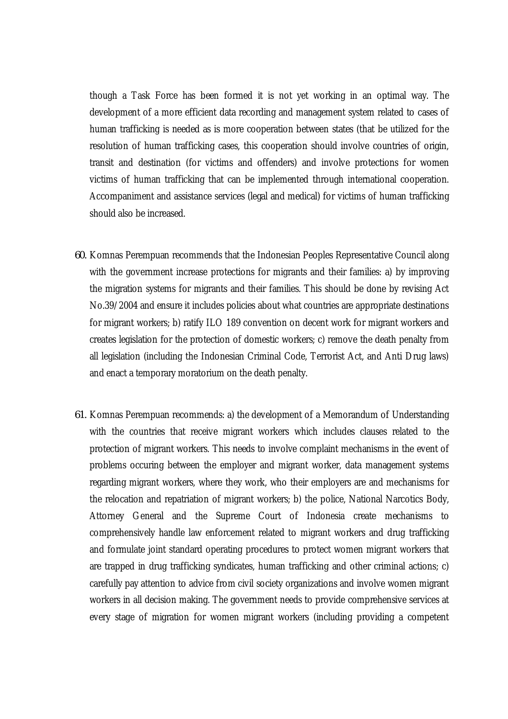though a Task Force has been formed it is not yet working in an optimal way. The development of a more efficient data recording and management system related to cases of human trafficking is needed as is more cooperation between states (that be utilized for the resolution of human trafficking cases, this cooperation should involve countries of origin, transit and destination (for victims and offenders) and involve protections for women victims of human trafficking that can be implemented through international cooperation. Accompaniment and assistance services (legal and medical) for victims of human trafficking should also be increased.

- *60.* Komnas Perempuan recommends that the Indonesian Peoples Representative Council along with the government increase protections for migrants and their families: a) by improving the migration systems for migrants and their families. This should be done by revising Act No.39/2004 and ensure it includes policies about what countries are appropriate destinations for migrant workers; b) ratify ILO 189 convention on decent work for migrant workers and creates legislation for the protection of domestic workers; c) remove the death penalty from all legislation (including the Indonesian Criminal Code, Terrorist Act, and Anti Drug laws) and enact a temporary moratorium on the death penalty.
- *61.* Komnas Perempuan recommends: a) the development of a Memorandum of Understanding with the countries that receive migrant workers which includes clauses related to the protection of migrant workers. This needs to involve complaint mechanisms in the event of problems occuring between the employer and migrant worker, data management systems regarding migrant workers, where they work, who their employers are and mechanisms for the relocation and repatriation of migrant workers; b) the police, National Narcotics Body, Attorney General and the Supreme Court of Indonesia create mechanisms to comprehensively handle law enforcement related to migrant workers and drug trafficking and formulate joint standard operating procedures to protect women migrant workers that are trapped in drug trafficking syndicates, human trafficking and other criminal actions; c) carefully pay attention to advice from civil society organizations and involve women migrant workers in all decision making. The government needs to provide comprehensive services at every stage of migration for women migrant workers (including providing a competent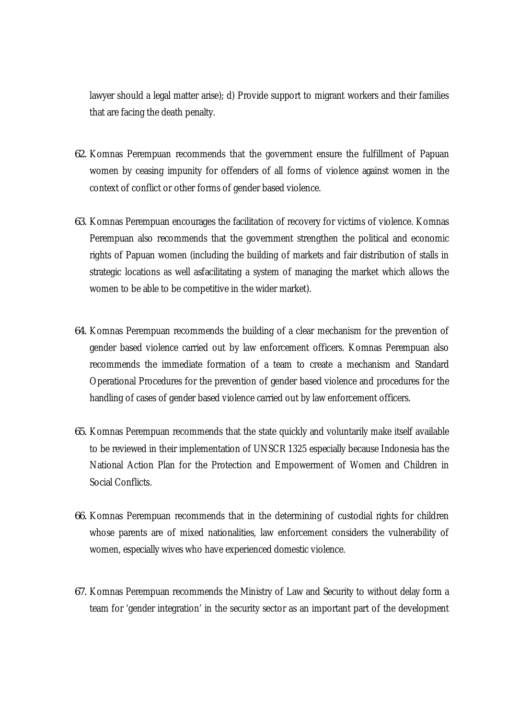lawyer should a legal matter arise); d) Provide support to migrant workers and their families that are facing the death penalty.

- *62.* Komnas Perempuan recommends that the government ensure the fulfillment of Papuan women by ceasing impunity for offenders of all forms of violence against women in the context of conflict or other forms of gender based violence.
- *63.* Komnas Perempuan encourages the facilitation of recovery for victims of violence. Komnas Perempuan also recommends that the government strengthen the political and economic rights of Papuan women (including the building of markets and fair distribution of stalls in strategic locations as well asfacilitating a system of managing the market which allows the women to be able to be competitive in the wider market).
- *64.* Komnas Perempuan recommends the building of a clear mechanism for the prevention of gender based violence carried out by law enforcement officers. Komnas Perempuan also recommends the immediate formation of a team to create a mechanism and Standard Operational Procedures for the prevention of gender based violence and procedures for the handling of cases of gender based violence carried out by law enforcement officers.
- *65.* Komnas Perempuan recommends that the state quickly and voluntarily make itself available to be reviewed in their implementation of UNSCR 1325 especially because Indonesia has the National Action Plan for the Protection and Empowerment of Women and Children in Social Conflicts.
- *66.* Komnas Perempuan recommends that in the determining of custodial rights for children whose parents are of mixed nationalities, law enforcement considers the vulnerability of women, especially wives who have experienced domestic violence.
- *67.* Komnas Perempuan recommends the Ministry of Law and Security to without delay form a team for 'gender integration' in the security sector as an important part of the development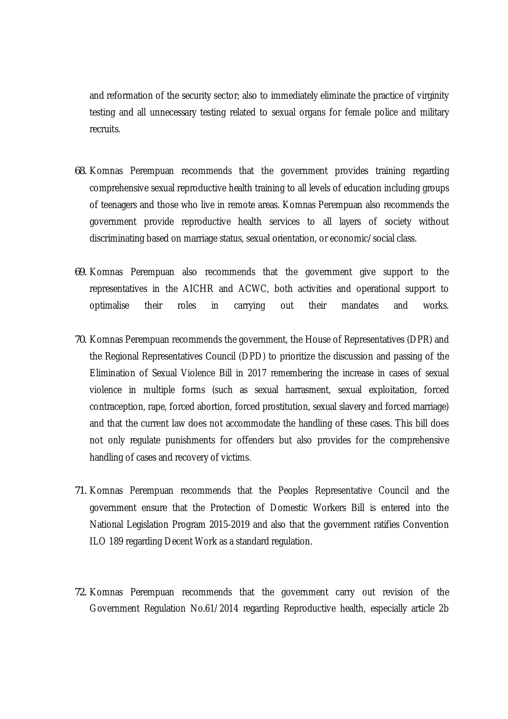and reformation of the security sector; also to immediately eliminate the practice of virginity testing and all unnecessary testing related to sexual organs for female police and military recruits.

- *68.* Komnas Perempuan recommends that the government provides training regarding comprehensive sexual reproductive health training to all levels of education including groups of teenagers and those who live in remote areas. Komnas Perempuan also recommends the government provide reproductive health services to all layers of society without discriminating based on marriage status, sexual orientation, or economic/social class.
- *69.* Komnas Perempuan also recommends that the government give support to the representatives in the AICHR and ACWC, both activities and operational support to optimalise their roles in carrying out their mandates and works.
- *70.* Komnas Perempuan recommends the government, the House of Representatives (DPR) and the Regional Representatives Council (DPD) to prioritize the discussion and passing of the Elimination of Sexual Violence Bill in 2017 remembering the increase in cases of sexual violence in multiple forms (such as sexual harrasment, sexual exploitation, forced contraception, rape, forced abortion, forced prostitution, sexual slavery and forced marriage) and that the current law does not accommodate the handling of these cases. This bill does not only regulate punishments for offenders but also provides for the comprehensive handling of cases and recovery of victims.
- *71.* Komnas Perempuan recommends that the Peoples Representative Council and the government ensure that the Protection of Domestic Workers Bill is entered into the National Legislation Program 2015-2019 and also that the government ratifies Convention ILO 189 regarding Decent Work as a standard regulation.
- *72.* Komnas Perempuan recommends that the government carry out revision of the Government Regulation No.61/2014 regarding Reproductive health, especially article 2b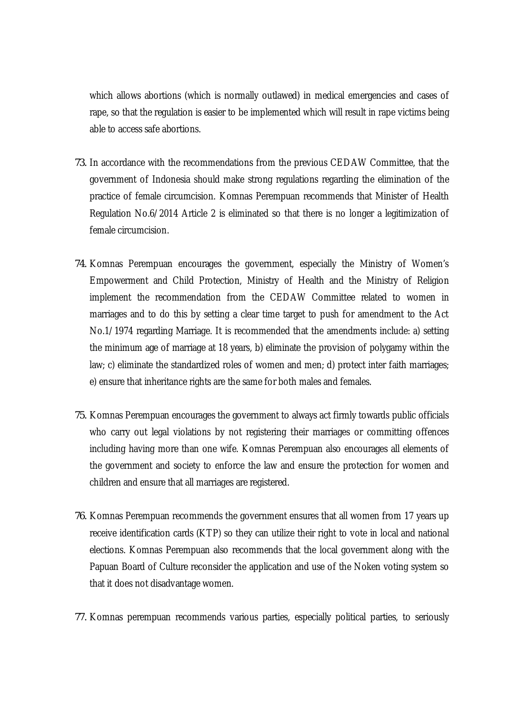which allows abortions (which is normally outlawed) in medical emergencies and cases of rape, so that the regulation is easier to be implemented which will result in rape victims being able to access safe abortions.

- *73.* In accordance with the recommendations from the previous CEDAW Committee, that the government of Indonesia should make strong regulations regarding the elimination of the practice of female circumcision. Komnas Perempuan recommends that Minister of Health Regulation No.6/2014 Article 2 is eliminated so that there is no longer a legitimization of female circumcision.
- *74.* Komnas Perempuan encourages the government, especially the Ministry of Women's Empowerment and Child Protection, Ministry of Health and the Ministry of Religion implement the recommendation from the CEDAW Committee related to women in marriages and to do this by setting a clear time target to push for amendment to the Act No.1/1974 regarding Marriage. It is recommended that the amendments include: a) setting the minimum age of marriage at 18 years, b) eliminate the provision of polygamy within the law; c) eliminate the standardized roles of women and men; d) protect inter faith marriages; e) ensure that inheritance rights are the same for both males and females.
- *75.* Komnas Perempuan encourages the government to always act firmly towards public officials who carry out legal violations by not registering their marriages or committing offences including having more than one wife. Komnas Perempuan also encourages all elements of the government and society to enforce the law and ensure the protection for women and children and ensure that all marriages are registered.
- *76.* Komnas Perempuan recommends the government ensures that all women from 17 years up receive identification cards (KTP) so they can utilize their right to vote in local and national elections. Komnas Perempuan also recommends that the local government along with the Papuan Board of Culture reconsider the application and use of the Noken voting system so that it does not disadvantage women.
- *77.* Komnas perempuan recommends various parties, especially political parties, to seriously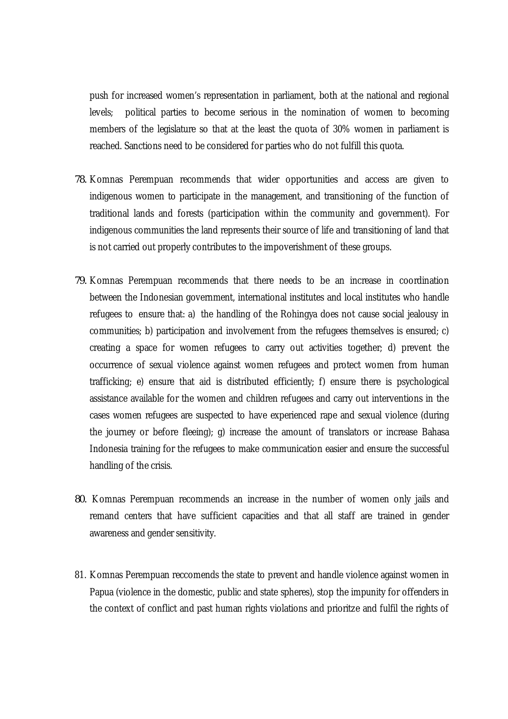push for increased women's representation in parliament, both at the national and regional levels; political parties to become serious in the nomination of women to becoming members of the legislature so that at the least the quota of 30% women in parliament is reached. Sanctions need to be considered for parties who do not fulfill this quota.

- *78.* Komnas Perempuan recommends that wider opportunities and access are given to indigenous women to participate in the management, and transitioning of the function of traditional lands and forests (participation within the community and government). For indigenous communities the land represents their source of life and transitioning of land that is not carried out properly contributes to the impoverishment of these groups.
- *79.* Komnas Perempuan recommends that there needs to be an increase in coordination between the Indonesian government, international institutes and local institutes who handle refugees to ensure that: a) the handling of the Rohingya does not cause social jealousy in communities; b) participation and involvement from the refugees themselves is ensured; c) creating a space for women refugees to carry out activities together; d) prevent the occurrence of sexual violence against women refugees and protect women from human trafficking; e) ensure that aid is distributed efficiently; f) ensure there is psychological assistance available for the women and children refugees and carry out interventions in the cases women refugees are suspected to have experienced rape and sexual violence (during the journey or before fleeing); g) increase the amount of translators or increase Bahasa Indonesia training for the refugees to make communication easier and ensure the successful handling of the crisis.
- *80.* Komnas Perempuan recommends an increase in the number of women only jails and remand centers that have sufficient capacities and that all staff are trained in gender awareness and gender sensitivity.
- 81. Komnas Perempuan reccomends the state to prevent and handle violence against women in Papua (violence in the domestic, public and state spheres), stop the impunity for offenders in the context of conflict and past human rights violations and prioritze and fulfil the rights of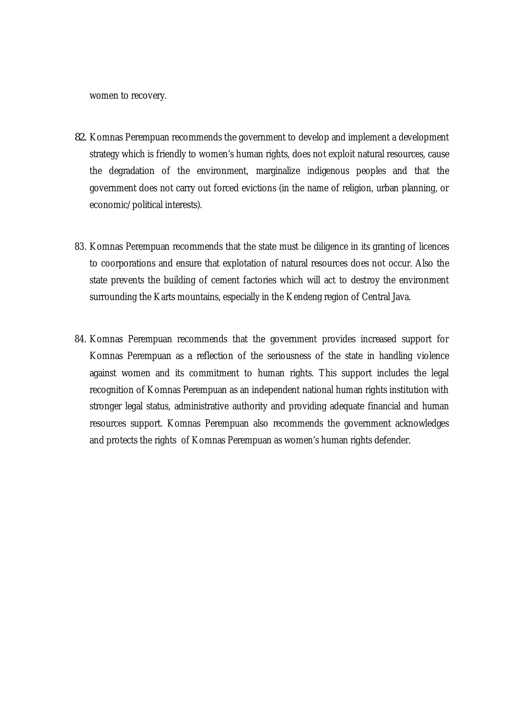women to recovery.

- *82.* Komnas Perempuan recommends the government to develop and implement a development strategy which is friendly to women's human rights, does not exploit natural resources, cause the degradation of the environment, marginalize indigenous peoples and that the government does not carry out forced evictions (in the name of religion, urban planning, or economic/political interests).
- 83. Komnas Perempuan recommends that the state must be diligence in its granting of licences to coorporations and ensure that explotation of natural resources does not occur. Also the state prevents the building of cement factories which will act to destroy the environment surrounding the Karts mountains, especially in the Kendeng region of Central Java.
- 84. Komnas Perempuan recommends that the government provides increased support for Komnas Perempuan as a reflection of the seriousness of the state in handling violence against women and its commitment to human rights. This support includes the legal recognition of Komnas Perempuan as an independent national human rights institution with stronger legal status, administrative authority and providing adequate financial and human resources support. Komnas Perempuan also recommends the government acknowledges and protects the rights of Komnas Perempuan as women's human rights defender.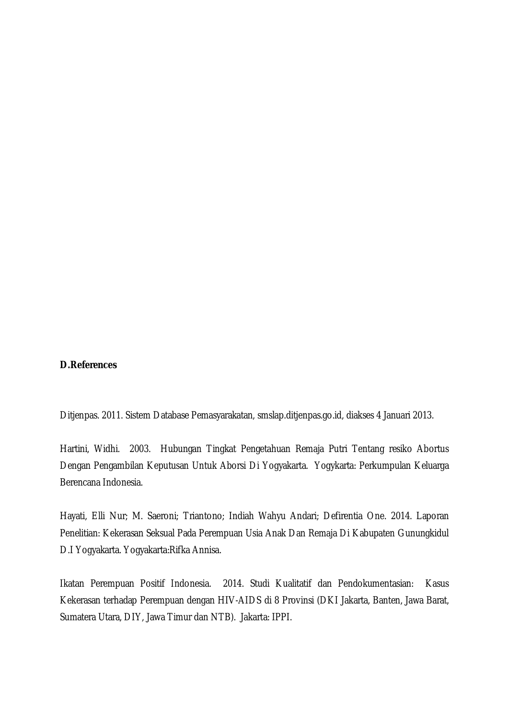#### **D.References**

Ditjenpas. 2011. Sistem Database Pemasyarakatan, smslap.ditjenpas.go.id, diakses 4 Januari 2013.

Hartini, Widhi. 2003. Hubungan Tingkat Pengetahuan Remaja Putri Tentang resiko Abortus Dengan Pengambilan Keputusan Untuk Aborsi Di Yogyakarta. Yogykarta: Perkumpulan Keluarga Berencana Indonesia.

Hayati, Elli Nur; M. Saeroni; Triantono; Indiah Wahyu Andari; Defirentia One. 2014. Laporan Penelitian: Kekerasan Seksual Pada Perempuan Usia Anak Dan Remaja Di Kabupaten Gunungkidul D.I Yogyakarta. Yogyakarta:Rifka Annisa.

Ikatan Perempuan Positif Indonesia. 2014. Studi Kualitatif dan Pendokumentasian: Kasus Kekerasan terhadap Perempuan dengan HIV-AIDS di 8 Provinsi (DKI Jakarta, Banten, Jawa Barat, Sumatera Utara, DIY, Jawa Timur dan NTB). Jakarta: IPPI.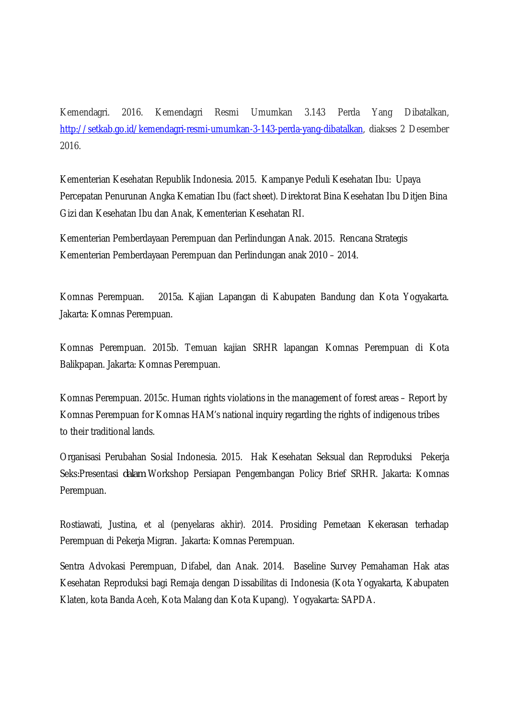Kemendagri. 2016. Kemendagri Resmi Umumkan 3.143 Perda Yang Dibatalkan, http://setkab.go.id/kemendagri-resmi-umumkan-3-143-perda-yang-dibatalkan, diakses 2 Desember 2016.

Kementerian Kesehatan Republik Indonesia. 2015. Kampanye Peduli Kesehatan Ibu: Upaya Percepatan Penurunan Angka Kematian Ibu (fact sheet). Direktorat Bina Kesehatan Ibu Ditjen Bina Gizi dan Kesehatan Ibu dan Anak, Kementerian Kesehatan RI.

Kementerian Pemberdayaan Perempuan dan Perlindungan Anak. 2015. Rencana Strategis Kementerian Pemberdayaan Perempuan dan Perlindungan anak 2010 – 2014.

Komnas Perempuan. 2015a. Kajian Lapangan di Kabupaten Bandung dan Kota Yogyakarta. Jakarta: Komnas Perempuan.

Komnas Perempuan. 2015b. Temuan kajian SRHR lapangan Komnas Perempuan di Kota Balikpapan. Jakarta: Komnas Perempuan.

Komnas Perempuan. 2015c. Human rights violations in the management of forest areas – Report by Komnas Perempuan for Komnas HAM's national inquiry regarding the rights of indigenous tribes to their traditional lands.

Organisasi Perubahan Sosial Indonesia. 2015. Hak Kesehatan Seksual dan Reproduksi Pekerja Seks:Presentasi *dalam* Workshop Persiapan Pengembangan Policy Brief SRHR. Jakarta: Komnas Perempuan.

Rostiawati, Justina, et al (penyelaras akhir). 2014. Prosiding Pemetaan Kekerasan terhadap Perempuan di Pekerja Migran. Jakarta: Komnas Perempuan.

Sentra Advokasi Perempuan, Difabel, dan Anak. 2014. Baseline Survey Pemahaman Hak atas Kesehatan Reproduksi bagi Remaja dengan Dissabilitas di Indonesia (Kota Yogyakarta, Kabupaten Klaten, kota Banda Aceh, Kota Malang dan Kota Kupang). Yogyakarta: SAPDA.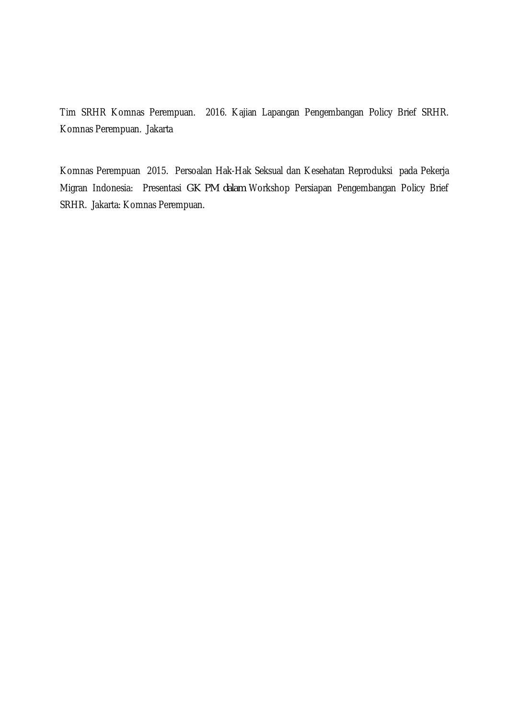Tim SRHR Komnas Perempuan. 2016. Kajian Lapangan Pengembangan Policy Brief SRHR. Komnas Perempuan. Jakarta

Komnas Perempuan 2015. Persoalan Hak-Hak Seksual dan Kesehatan Reproduksi pada Pekerja Migran Indonesia: Presentasi *GK PM dalam* Workshop Persiapan Pengembangan Policy Brief SRHR. Jakarta: Komnas Perempuan.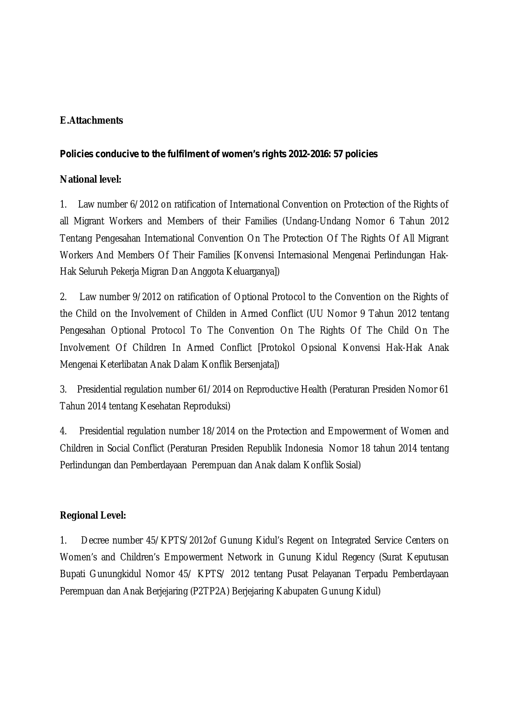### **E.Attachments**

#### *Policies conducive to the fulfilment of women's rights 2012-2016: 57 policies*

#### **National level:**

1. Law number 6/2012 on ratification of International Convention on Protection of the Rights of all Migrant Workers and Members of their Families (Undang-Undang Nomor 6 Tahun 2012 Tentang Pengesahan International Convention On The Protection Of The Rights Of All Migrant Workers And Members Of Their Families [Konvensi Internasional Mengenai Perlindungan Hak-Hak Seluruh Pekerja Migran Dan Anggota Keluarganya])

2. Law number 9/2012 on ratification of Optional Protocol to the Convention on the Rights of the Child on the Involvement of Childen in Armed Conflict (UU Nomor 9 Tahun 2012 tentang Pengesahan Optional Protocol To The Convention On The Rights Of The Child On The Involvement Of Children In Armed Conflict [Protokol Opsional Konvensi Hak-Hak Anak Mengenai Keterlibatan Anak Dalam Konflik Bersenjata])

3. Presidential regulation number 61/2014 on Reproductive Health (Peraturan Presiden Nomor 61 Tahun 2014 tentang Kesehatan Reproduksi)

4. Presidential regulation number 18/2014 on the Protection and Empowerment of Women and Children in Social Conflict (Peraturan Presiden Republik Indonesia Nomor 18 tahun 2014 tentang Perlindungan dan Pemberdayaan Perempuan dan Anak dalam Konflik Sosial)

#### **Regional Level:**

1. Decree number 45/KPTS/2012of Gunung Kidul's Regent on Integrated Service Centers on Women's and Children's Empowerment Network in Gunung Kidul Regency (Surat Keputusan Bupati Gunungkidul Nomor 45/ KPTS/ 2012 tentang Pusat Pelayanan Terpadu Pemberdayaan Perempuan dan Anak Berjejaring (P2TP2A) Berjejaring Kabupaten Gunung Kidul)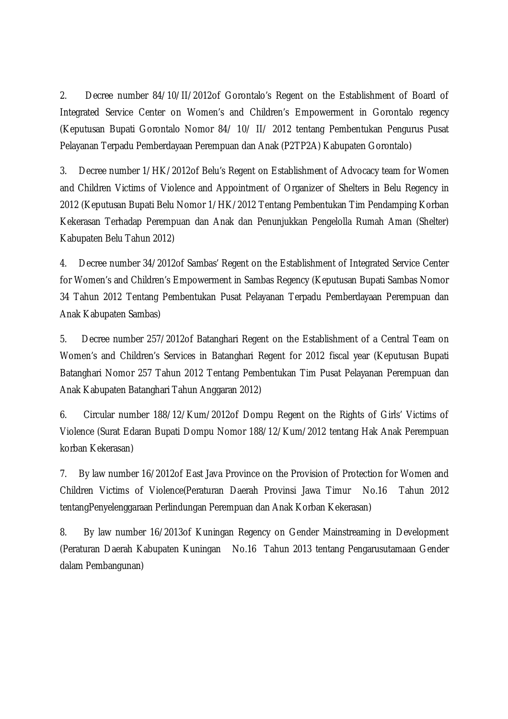2. Decree number 84/10/II/2012of Gorontalo's Regent on the Establishment of Board of Integrated Service Center on Women's and Children's Empowerment in Gorontalo regency (Keputusan Bupati Gorontalo Nomor 84/ 10/ II/ 2012 tentang Pembentukan Pengurus Pusat Pelayanan Terpadu Pemberdayaan Perempuan dan Anak (P2TP2A) Kabupaten Gorontalo)

3. Decree number 1/HK/2012of Belu's Regent on Establishment of Advocacy team for Women and Children Victims of Violence and Appointment of Organizer of Shelters in Belu Regency in 2012 (Keputusan Bupati Belu Nomor 1/HK/2012 Tentang Pembentukan Tim Pendamping Korban Kekerasan Terhadap Perempuan dan Anak dan Penunjukkan Pengelolla Rumah Aman (Shelter) Kabupaten Belu Tahun 2012)

4. Decree number 34/2012of Sambas' Regent on the Establishment of Integrated Service Center for Women's and Children's Empowerment in Sambas Regency (Keputusan Bupati Sambas Nomor 34 Tahun 2012 Tentang Pembentukan Pusat Pelayanan Terpadu Pemberdayaan Perempuan dan Anak Kabupaten Sambas)

5. Decree number 257/2012of Batanghari Regent on the Establishment of a Central Team on Women's and Children's Services in Batanghari Regent for 2012 fiscal year (Keputusan Bupati Batanghari Nomor 257 Tahun 2012 Tentang Pembentukan Tim Pusat Pelayanan Perempuan dan Anak Kabupaten Batanghari Tahun Anggaran 2012)

6. Circular number 188/12/Kum/2012of Dompu Regent on the Rights of Girls' Victims of Violence (Surat Edaran Bupati Dompu Nomor 188/12/Kum/2012 tentang Hak Anak Perempuan korban Kekerasan)

7. By law number 16/2012of East Java Province on the Provision of Protection for Women and Children Victims of Violence(Peraturan Daerah Provinsi Jawa Timur No.16 Tahun 2012 tentangPenyelenggaraan Perlindungan Perempuan dan Anak Korban Kekerasan)

8. By law number 16/2013of Kuningan Regency on Gender Mainstreaming in Development (Peraturan Daerah Kabupaten Kuningan No.16 Tahun 2013 tentang Pengarusutamaan Gender dalam Pembangunan)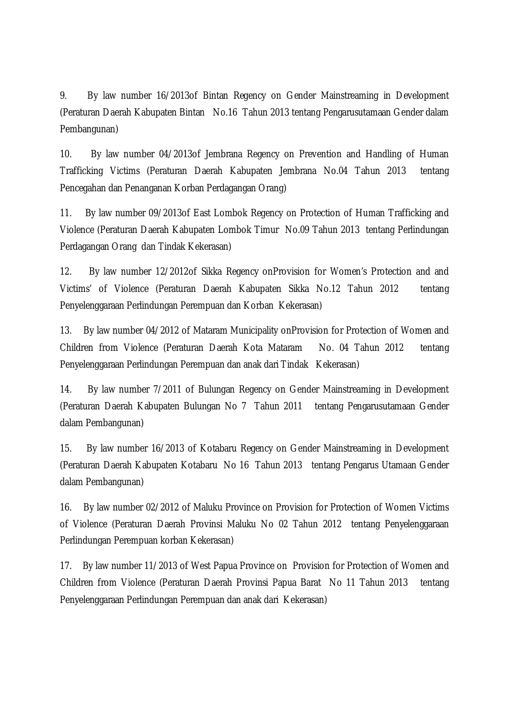9. By law number 16/2013of Bintan Regency on Gender Mainstreaming in Development (Peraturan Daerah Kabupaten Bintan No.16 Tahun 2013 tentang Pengarusutamaan Gender dalam Pembangunan)

10. By law number 04/2013of Jembrana Regency on Prevention and Handling of Human Trafficking Victims (Peraturan Daerah Kabupaten Jembrana No.04 Tahun 2013 tentang Pencegahan dan Penanganan Korban Perdagangan Orang)

11. By law number 09/2013of East Lombok Regency on Protection of Human Trafficking and Violence (Peraturan Daerah Kabupaten Lombok Timur No.09 Tahun 2013 tentang Perlindungan Perdagangan Orang dan Tindak Kekerasan)

12. By law number 12/2012of Sikka Regency onProvision for Women's Protection and and Victims' of Violence (Peraturan Daerah Kabupaten Sikka No.12 Tahun 2012 tentang Penyelenggaraan Perlindungan Perempuan dan Korban Kekerasan)

13. By law number 04/2012 of Mataram Municipality onProvision for Protection of Women and Children from Violence (Peraturan Daerah Kota Mataram No. 04 Tahun 2012 tentang Penyelenggaraan Perlindungan Perempuan dan anak dari Tindak Kekerasan)

14. By law number 7/2011 of Bulungan Regency on Gender Mainstreaming in Development (Peraturan Daerah Kabupaten Bulungan No 7 Tahun 2011 tentang Pengarusutamaan Gender dalam Pembangunan)

15. By law number 16/2013 of Kotabaru Regency on Gender Mainstreaming in Development (Peraturan Daerah Kabupaten Kotabaru No 16 Tahun 2013 tentang Pengarus Utamaan Gender dalam Pembangunan)

16. By law number 02/2012 of Maluku Province on Provision for Protection of Women Victims of Violence (Peraturan Daerah Provinsi Maluku No 02 Tahun 2012 tentang Penyelenggaraan Perlindungan Perempuan korban Kekerasan)

17. By law number 11/2013 of West Papua Province on Provision for Protection of Women and Children from Violence (Peraturan Daerah Provinsi Papua Barat No 11 Tahun 2013 tentang Penyelenggaraan Perlindungan Perempuan dan anak dari Kekerasan)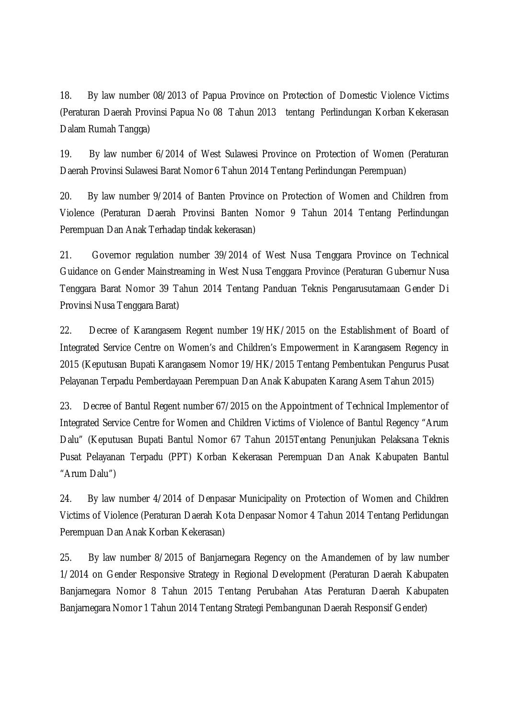18. By law number 08/2013 of Papua Province on Protection of Domestic Violence Victims (Peraturan Daerah Provinsi Papua No 08 Tahun 2013 tentang Perlindungan Korban Kekerasan Dalam Rumah Tangga)

19. By law number 6/2014 of West Sulawesi Province on Protection of Women (Peraturan Daerah Provinsi Sulawesi Barat Nomor 6 Tahun 2014 Tentang Perlindungan Perempuan)

20. By law number 9/2014 of Banten Province on Protection of Women and Children from Violence (Peraturan Daerah Provinsi Banten Nomor 9 Tahun 2014 Tentang Perlindungan Perempuan Dan Anak Terhadap tindak kekerasan)

21. Governor regulation number 39/2014 of West Nusa Tenggara Province on Technical Guidance on Gender Mainstreaming in West Nusa Tenggara Province (Peraturan Gubernur Nusa Tenggara Barat Nomor 39 Tahun 2014 Tentang Panduan Teknis Pengarusutamaan Gender Di Provinsi Nusa Tenggara Barat)

22. Decree of Karangasem Regent number 19/HK/2015 on the Establishment of Board of Integrated Service Centre on Women's and Children's Empowerment in Karangasem Regency in 2015 (Keputusan Bupati Karangasem Nomor 19/HK/2015 Tentang Pembentukan Pengurus Pusat Pelayanan Terpadu Pemberdayaan Perempuan Dan Anak Kabupaten Karang Asem Tahun 2015)

23. Decree of Bantul Regent number 67/2015 on the Appointment of Technical Implementor of Integrated Service Centre for Women and Children Victims of Violence of Bantul Regency "Arum Dalu" (Keputusan Bupati Bantul Nomor 67 Tahun 2015Tentang Penunjukan Pelaksana Teknis Pusat Pelayanan Terpadu (PPT) Korban Kekerasan Perempuan Dan Anak Kabupaten Bantul "Arum Dalu")

24. By law number 4/2014 of Denpasar Municipality on Protection of Women and Children Victims of Violence (Peraturan Daerah Kota Denpasar Nomor 4 Tahun 2014 Tentang Perlidungan Perempuan Dan Anak Korban Kekerasan)

25. By law number 8/2015 of Banjarnegara Regency on the Amandemen of by law number 1/2014 on Gender Responsive Strategy in Regional Development (Peraturan Daerah Kabupaten Banjarnegara Nomor 8 Tahun 2015 Tentang Perubahan Atas Peraturan Daerah Kabupaten Banjarnegara Nomor 1 Tahun 2014 Tentang Strategi Pembangunan Daerah Responsif Gender)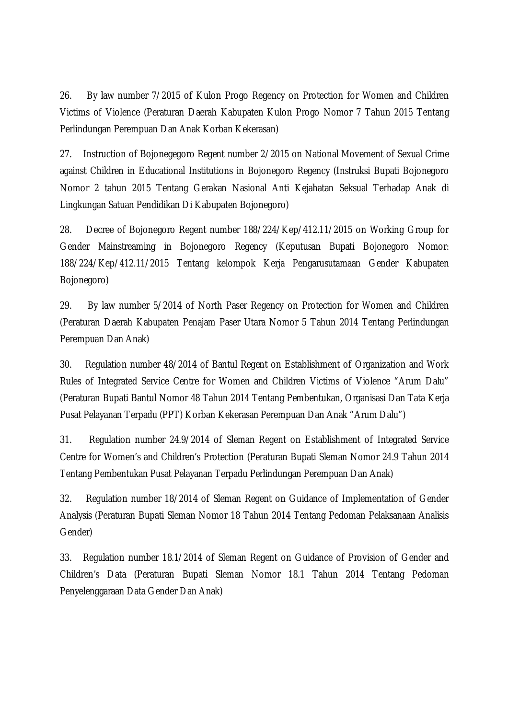26. By law number 7/2015 of Kulon Progo Regency on Protection for Women and Children Victims of Violence (Peraturan Daerah Kabupaten Kulon Progo Nomor 7 Tahun 2015 Tentang Perlindungan Perempuan Dan Anak Korban Kekerasan)

27. Instruction of Bojonegegoro Regent number 2/2015 on National Movement of Sexual Crime against Children in Educational Institutions in Bojonegoro Regency (Instruksi Bupati Bojonegoro Nomor 2 tahun 2015 Tentang Gerakan Nasional Anti Kejahatan Seksual Terhadap Anak di Lingkungan Satuan Pendidikan Di Kabupaten Bojonegoro)

28. Decree of Bojonegoro Regent number 188/224/Kep/412.11/2015 on Working Group for Gender Mainstreaming in Bojonegoro Regency (Keputusan Bupati Bojonegoro Nomor: 188/224/Kep/412.11/2015 Tentang kelompok Kerja Pengarusutamaan Gender Kabupaten Bojonegoro)

29. By law number 5/2014 of North Paser Regency on Protection for Women and Children (Peraturan Daerah Kabupaten Penajam Paser Utara Nomor 5 Tahun 2014 Tentang Perlindungan Perempuan Dan Anak)

30. Regulation number 48/2014 of Bantul Regent on Establishment of Organization and Work Rules of Integrated Service Centre for Women and Children Victims of Violence "Arum Dalu" (Peraturan Bupati Bantul Nomor 48 Tahun 2014 Tentang Pembentukan, Organisasi Dan Tata Kerja Pusat Pelayanan Terpadu (PPT) Korban Kekerasan Perempuan Dan Anak "Arum Dalu")

31. Regulation number 24.9/2014 of Sleman Regent on Establishment of Integrated Service Centre for Women's and Children's Protection (Peraturan Bupati Sleman Nomor 24.9 Tahun 2014 Tentang Pembentukan Pusat Pelayanan Terpadu Perlindungan Perempuan Dan Anak)

32. Regulation number 18/2014 of Sleman Regent on Guidance of Implementation of Gender Analysis (Peraturan Bupati Sleman Nomor 18 Tahun 2014 Tentang Pedoman Pelaksanaan Analisis Gender)

33. Regulation number 18.1/2014 of Sleman Regent on Guidance of Provision of Gender and Children's Data (Peraturan Bupati Sleman Nomor 18.1 Tahun 2014 Tentang Pedoman Penyelenggaraan Data Gender Dan Anak)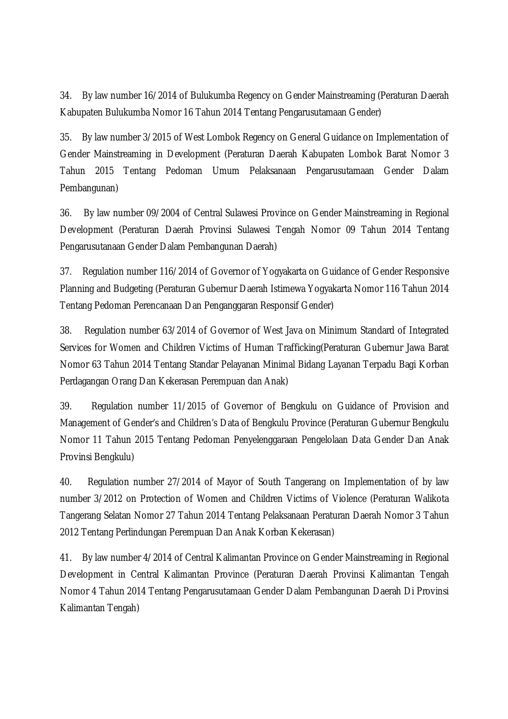34. By law number 16/2014 of Bulukumba Regency on Gender Mainstreaming (Peraturan Daerah Kabupaten Bulukumba Nomor 16 Tahun 2014 Tentang Pengarusutamaan Gender)

35. By law number 3/2015 of West Lombok Regency on General Guidance on Implementation of Gender Mainstreaming in Development (Peraturan Daerah Kabupaten Lombok Barat Nomor 3 Tahun 2015 Tentang Pedoman Umum Pelaksanaan Pengarusutamaan Gender Dalam Pembangunan)

36. By law number 09/2004 of Central Sulawesi Province on Gender Mainstreaming in Regional Development (Peraturan Daerah Provinsi Sulawesi Tengah Nomor 09 Tahun 2014 Tentang Pengarusutanaan Gender Dalam Pembangunan Daerah)

37. Regulation number 116/2014 of Governor of Yogyakarta on Guidance of Gender Responsive Planning and Budgeting (Peraturan Gubernur Daerah Istimewa Yogyakarta Nomor 116 Tahun 2014 Tentang Pedoman Perencanaan Dan Penganggaran Responsif Gender)

38. Regulation number 63/2014 of Governor of West Java on Minimum Standard of Integrated Services for Women and Children Victims of Human Trafficking(Peraturan Gubernur Jawa Barat Nomor 63 Tahun 2014 Tentang Standar Pelayanan Minimal Bidang Layanan Terpadu Bagi Korban Perdagangan Orang Dan Kekerasan Perempuan dan Anak)

39. Regulation number 11/2015 of Governor of Bengkulu on Guidance of Provision and Management of Gender's and Children's Data of Bengkulu Province (Peraturan Gubernur Bengkulu Nomor 11 Tahun 2015 Tentang Pedoman Penyelenggaraan Pengelolaan Data Gender Dan Anak Provinsi Bengkulu)

40. Regulation number 27/2014 of Mayor of South Tangerang on Implementation of by law number 3/2012 on Protection of Women and Children Victims of Violence (Peraturan Walikota Tangerang Selatan Nomor 27 Tahun 2014 Tentang Pelaksanaan Peraturan Daerah Nomor 3 Tahun 2012 Tentang Perlindungan Perempuan Dan Anak Korban Kekerasan)

41. By law number 4/2014 of Central Kalimantan Province on Gender Mainstreaming in Regional Development in Central Kalimantan Province (Peraturan Daerah Provinsi Kalimantan Tengah Nomor 4 Tahun 2014 Tentang Pengarusutamaan Gender Dalam Pembangunan Daerah Di Provinsi Kalimantan Tengah)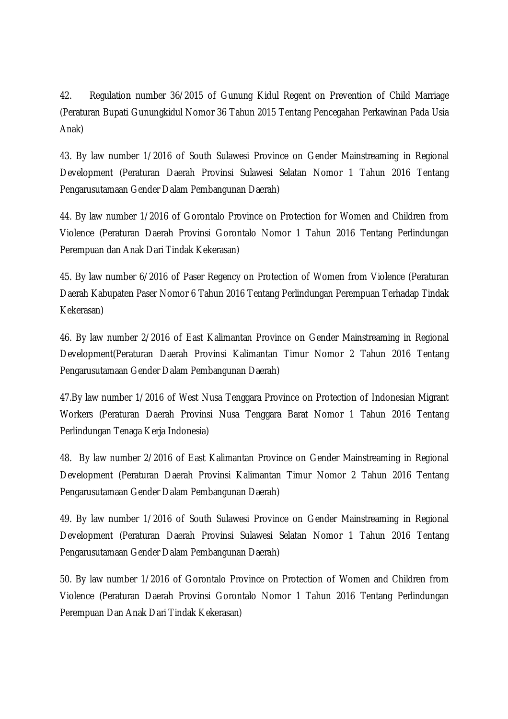42. Regulation number 36/2015 of Gunung Kidul Regent on Prevention of Child Marriage (Peraturan Bupati Gunungkidul Nomor 36 Tahun 2015 Tentang Pencegahan Perkawinan Pada Usia Anak)

43. By law number 1/2016 of South Sulawesi Province on Gender Mainstreaming in Regional Development (Peraturan Daerah Provinsi Sulawesi Selatan Nomor 1 Tahun 2016 Tentang Pengarusutamaan Gender Dalam Pembangunan Daerah)

44. By law number 1/2016 of Gorontalo Province on Protection for Women and Children from Violence (Peraturan Daerah Provinsi Gorontalo Nomor 1 Tahun 2016 Tentang Perlindungan Perempuan dan Anak Dari Tindak Kekerasan)

45. By law number 6/2016 of Paser Regency on Protection of Women from Violence (Peraturan Daerah Kabupaten Paser Nomor 6 Tahun 2016 Tentang Perlindungan Perempuan Terhadap Tindak Kekerasan)

46. By law number 2/2016 of East Kalimantan Province on Gender Mainstreaming in Regional Development(Peraturan Daerah Provinsi Kalimantan Timur Nomor 2 Tahun 2016 Tentang Pengarusutamaan Gender Dalam Pembangunan Daerah)

47.By law number 1/2016 of West Nusa Tenggara Province on Protection of Indonesian Migrant Workers (Peraturan Daerah Provinsi Nusa Tenggara Barat Nomor 1 Tahun 2016 Tentang Perlindungan Tenaga Kerja Indonesia)

48. By law number 2/2016 of East Kalimantan Province on Gender Mainstreaming in Regional Development (Peraturan Daerah Provinsi Kalimantan Timur Nomor 2 Tahun 2016 Tentang Pengarusutamaan Gender Dalam Pembangunan Daerah)

49. By law number 1/2016 of South Sulawesi Province on Gender Mainstreaming in Regional Development (Peraturan Daerah Provinsi Sulawesi Selatan Nomor 1 Tahun 2016 Tentang Pengarusutamaan Gender Dalam Pembangunan Daerah)

50. By law number 1/2016 of Gorontalo Province on Protection of Women and Children from Violence (Peraturan Daerah Provinsi Gorontalo Nomor 1 Tahun 2016 Tentang Perlindungan Perempuan Dan Anak Dari Tindak Kekerasan)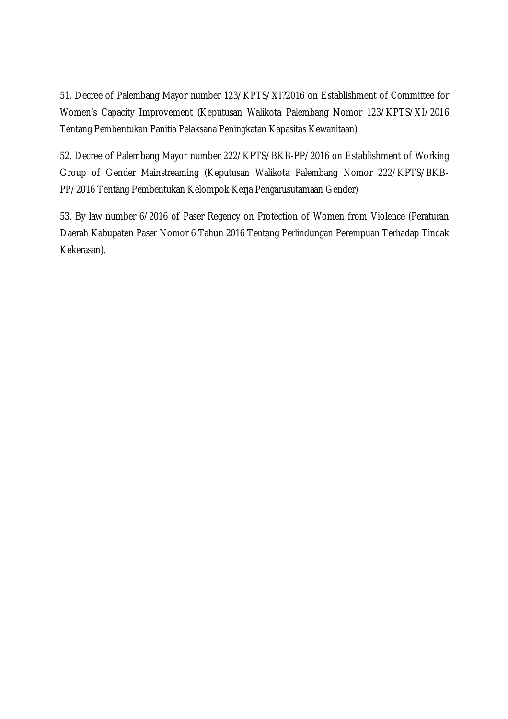51. Decree of Palembang Mayor number 123/KPTS/XI?2016 on Establishment of Committee for Women's Capacity Improvement (Keputusan Walikota Palembang Nomor 123/KPTS/XI/2016 Tentang Pembentukan Panitia Pelaksana Peningkatan Kapasitas Kewanitaan)

52. Decree of Palembang Mayor number 222/KPTS/BKB-PP/2016 on Establishment of Working Group of Gender Mainstreaming (Keputusan Walikota Palembang Nomor 222/KPTS/BKB-PP/2016 Tentang Pembentukan Kelompok Kerja Pengarusutamaan Gender)

53. By law number 6/2016 of Paser Regency on Protection of Women from Violence (Peraturan Daerah Kabupaten Paser Nomor 6 Tahun 2016 Tentang Perlindungan Perempuan Terhadap Tindak Kekerasan).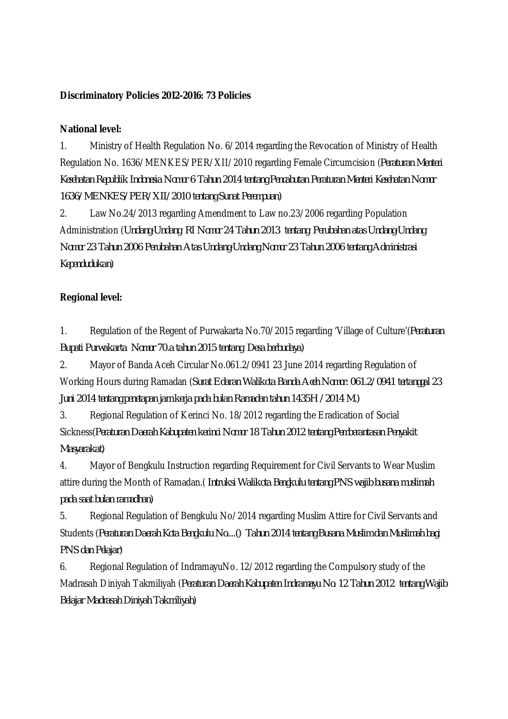#### **Discriminatory Policies 2012-2016: 73 Policies**

#### **National level:**

1. Ministry of Health Regulation No. 6/2014 regarding the Revocation of Ministry of Health Regulation No. 1636/MENKES/PER/XII/2010 regarding Female Circumcision (*Peraturan Menteri Kesehatan Republik Indonesia Nomor 6 Tahun 2014 tentang Pencabutan Peraturan Menteri Kesehatan Nomor 1636/MENKES/PER/XII/2010 tentang Sunat Perempuan)*

2. Law No.24/2013 regarding Amendment to Law no.23/2006 regarding Population Administration (*Undang-Undang RI Nomor 24 Tahun 2013 tentang Perubahan atas Undang-Undang Nomor 23 Tahun 2006 Perubahan Atas Undang-Undang Nomor 23 Tahun 2006 tentang Administrasi Kependudukan)*

#### **Regional level:**

1. Regulation of the Regent of Purwakarta No.70/2015 regarding 'Village of Culture'(*Peraturan Bupati Purwakarta Nomor 70.a tahun 2015 tentang Desa berbudaya)*

2. Mayor of Banda Aceh Circular No.061.2/0941 23 June 2014 regarding Regulation of Working Hours during Ramadan (*Surat Edaran Walikota Banda Aceh Nomor: 061.2/0941 tertanggal 23 Juni 2014 tentang penetapan jam kerja pada bulan Ramadan tahun 1435H /2014 M.)*

3. Regional Regulation of Kerinci No. 18/2012 regarding the Eradication of Social Sickness(*Peraturan Daerah Kabupaten kerinci Nomor 18 Tahun 2012 tentang Pemberantasan Penyakit Masyarakat)*

4. Mayor of Bengkulu Instruction regarding Requirement for Civil Servants to Wear Muslim attire during the Month of Ramadan.( *Intruksi Walikota Bengkulu tentang PNS wajib busana muslimah pada saat bulan ramadhan)*

5. Regional Regulation of Bengkulu No/2014 regarding Muslim Attire for Civil Servants and Students (*Peraturan Daerah Kota Bengkulu No....() Tahun 2014 tentang Busana Muslim dan Muslimah bagi PNS dan Pelajar)*

6. Regional Regulation of IndramayuNo. 12/2012 regarding the Compulsory study of the Madrasah Diniyah Takmiliyah (*Peraturan Daerah Kabupaten Indramayu No. 12 Tahun 2012 tentang Wajib Belajar Madrasah Diniyah Takmiliyah)*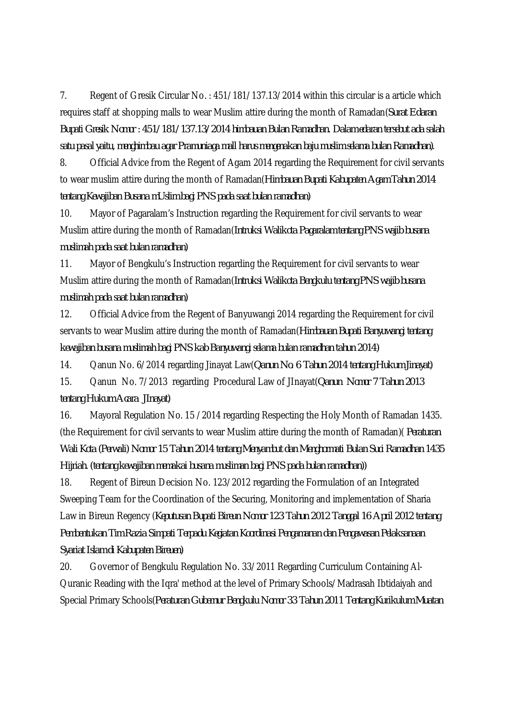7. Regent of Gresik Circular No. : 451/181/137.13/2014 within this circular is a article which requires staff at shopping malls to wear Muslim attire during the month of Ramadan(*Surat Edaran Bupati Gresik Nomor : 451/181/137.13/2014 himbauan Bulan Ramadhan. Dalam edaran tersebut ada salah satu pasal yaitu, menghimbau agar Pramuniaga mall harus mengenakan baju muslim selama bulan Ramadhan)*.

8. Official Advice from the Regent of Agam 2014 regarding the Requirement for civil servants to wear muslim attire during the month of Ramadan(*Himbauan Bupati Kabupaten Agam Tahun 2014 tentang Kewajiban Busana mUslim bagi PNS pada saat bulan ramadhan)*

10. Mayor of Pagaralam's Instruction regarding the Requirement for civil servants to wear Muslim attire during the month of Ramadan(*Intruksi Walikota Pagaralam tentang PNS wajib busana muslimah pada saat bulan ramadhan)*

11. Mayor of Bengkulu's Instruction regarding the Requirement for civil servants to wear Muslim attire during the month of Ramadan(*Intruksi Walikota Bengkulu tentang PNS wajib busana muslimah pada saat bulan ramadhan)*

12. Official Advice from the Regent of Banyuwangi 2014 regarding the Requirement for civil servants to wear Muslim attire during the month of Ramadan(*Himbauan Bupati Banyuwangi tentang kewajiban busana muslimah bagi PNS kab Banyuwangi selama bulan ramadhan tahun 2014)*

14. Qanun No. 6/2014 regarding Jinayat Law(*Qanun No. 6 Tahun 2014 tentang Hukum Jinayat)* 15. Qanun No. 7/2013 regarding Procedural Law of JInayat(*Qanun Nomor 7 Tahun 2013 tentang Hukum Acara JInayat)*

16. Mayoral Regulation No. 15 /2014 regarding Respecting the Holy Month of Ramadan 1435. (the Requirement for civil servants to wear Muslim attire during the month of Ramadan)( *Peraturan Wali Kota (Perwali) Nomor 15 Tahun 2014 tentang Menyambut dan Menghormati Bulan Suci Ramadhan 1435 Hijriah. (tentang kewajiban memakai busana musliman bagi PNS pada bulan ramadhan))*

18. Regent of Bireun Decision No. 123/2012 regarding the Formulation of an Integrated Sweeping Team for the Coordination of the Securing, Monitoring and implementation of Sharia Law in Bireun Regency (*Keputusan Bupati Bireun Nomor 123 Tahun 2012 Tanggal 16 April 2012 tentang Pembentukan Tim Razia Simpati Terpadu Kegiatan Koordinasi Pengamanan dan Pengawasan Pelaksanaan Syariat Islam di Kabupaten Bireuen)*

20. Governor of Bengkulu Regulation No. 33/2011 Regarding Curriculum Containing Al-Quranic Reading with the Iqra' method at the level of Primary Schools/Madrasah Ibtidaiyah and Special Primary Schools(*Peraturan Gubernur Bengkulu Nomor 33 Tahun 2011 Tentang Kurikulum Muatan*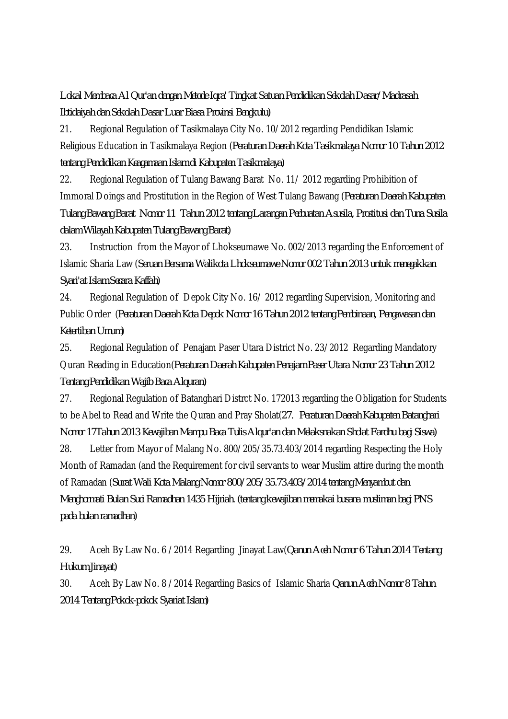*Lokal Membaca Al Qur'an dengan Metode Iqra' Tingkat Satuan Pendidikan Sekolah Dasar/Madrasah Ibtidaiyah dan Sekolah Dasar Luar Biasa Provinsi Bengkulu)*

21. Regional Regulation of Tasikmalaya City No. 10/2012 regarding Pendidikan Islamic Religious Education in Tasikmalaya Region (*Peraturan Daerah Kota Tasikmalaya Nomor 10 Tahun 2012 tentang Pendidikan Keagamaan Islam di Kabupaten Tasikmalaya)*

22. Regional Regulation of Tulang Bawang Barat No. 11/ 2012 regarding Prohibition of Immoral Doings and Prostitution in the Region of West Tulang Bawang (*Peraturan Daerah Kabupaten Tulang Bawang Barat Nomor 11 Tahun 2012 tentang Larangan Perbuatan Asusila, Prostitusi dan Tuna Susila dalam Wilayah Kabupaten Tulang Bawang Barat)*

23. Instruction from the Mayor of Lhokseumawe No. 002/2013 regarding the Enforcement of Islamic Sharia Law (*Seruan Bersama Walikota Lhokseumawe Nomor 002 Tahun 2013 untuk menegakkan Syari'at Islam Secara Kaffah)*

24. Regional Regulation of Depok City No. 16/ 2012 regarding Supervision, Monitoring and Public Order (*Peraturan Daerah Kota Depok Nomor 16 Tahun 2012 tentang Pembinaan, Pengawasan dan Ketertiban Umum)*

25. Regional Regulation of Penajam Paser Utara District No. 23/2012 Regarding Mandatory Quran Reading in Education(*Peraturan Daerah Kabupaten Penajam Paser Utara Nomor 23 Tahun 2012 Tentang Pendidikan Wajib Baca Alquran)*

27. Regional Regulation of Batanghari Distrct No. 172013 regarding the Obligation for Students to be Abel to Read and Write the Quran and Pray Sholat(*27. Peraturan Daerah Kabupaten Batanghari Nomor 17Tahun 2013 Kewajiban Mampu Baca Tulis Alqur'an dan Melaksnakan Sholat Fardhu bagi Siswa)*

28. Letter from Mayor of Malang No. 800/205/35.73.403/2014 regarding Respecting the Holy Month of Ramadan (and the Requirement for civil servants to wear Muslim attire during the month of Ramadan (*Surat Wali Kota Malang Nomor 800/205/35.73.403/2014 tentang Menyambut dan Menghormati Bulan Suci Ramadhan 1435 Hijriah. (tentang kewajiban memakai busana musliman bagi PNS pada bulan ramadhan)*

29. Aceh By Law No. 6 /2014 Regarding Jinayat Law(*Qanun Aceh Nomor 6 Tahun 2014 Tentang Hukum Jinayat)*

30. Aceh By Law No. 8 /2014 Regarding Basics of Islamic Sharia *Qanun Aceh Nomor 8 Tahun 2014 Tentang Pokok-pokok Syariat Islam)*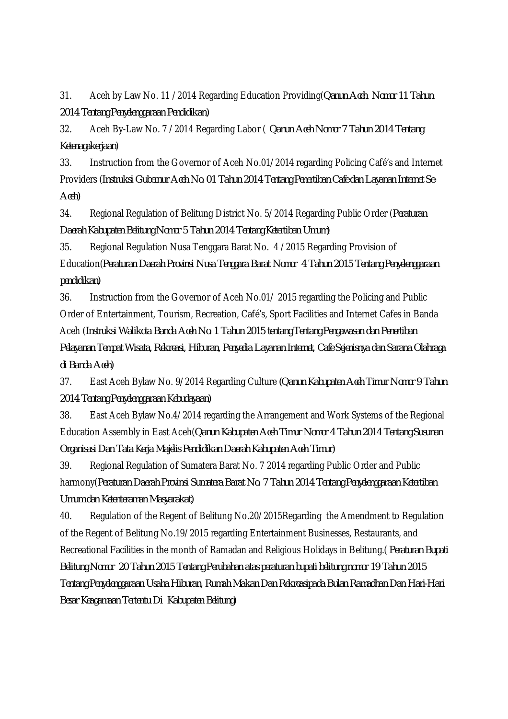31. Aceh by Law No. 11 /2014 Regarding Education Providing(*Qanun Aceh Nomor 11 Tahun 2014 Tentang Penyelenggaraan Pendidikan)*

32. Aceh By-Law No. 7 /2014 Regarding Labor ( *Qanun Aceh Nomor 7 Tahun 2014 Tentang Ketenagakerjaan*)

33. Instruction from the Governor of Aceh No.01/2014 regarding Policing Café's and Internet Providers (*Instruksi Gubernur Aceh No. 01 Tahun 2014 Tentang Penertiban Cafe dan Layanan Internet Se-Aceh)*

34. Regional Regulation of Belitung District No. 5/2014 Regarding Public Order (*Peraturan Daerah Kabupaten Belitung Nomor 5 Tahun 2014 Tentang Ketertiban Umum)*

35. Regional Regulation Nusa Tenggara Barat No. 4 /2015 Regarding Provision of Education(*Peraturan Daerah Provinsi Nusa Tenggara Barat Nomor 4 Tahun 2015 Tentang Penyelenggaraan pendidikan)*

36. Instruction from the Governor of Aceh No.01/ 2015 regarding the Policing and Public Order of Entertainment, Tourism, Recreation, Café's, Sport Facilities and Internet Cafes in Banda Aceh (*Instruksi Walikota Banda Aceh No. 1 Tahun 2015 tentang Tentang Pengawasan dan Penertiban Pelayanan Tempat Wisata, Rekreasi, Hiburan, Penyedia Layanan Internet, Cafe Sejenisnya dan Sarana Olahraga di Banda Aceh)*

37. East Aceh Bylaw No. 9/2014 Regarding Culture *(Qanun Kabupaten Aceh Timur Nomor 9 Tahun 2014 Tentang Penyelenggaraan Kebudayaan)*

38. East Aceh Bylaw No.4/2014 regarding the Arrangement and Work Systems of the Regional Education Assembly in East Aceh(*Qanun Kabupaten Aceh Timur Nomor 4 Tahun 2014 Tentang Susunan Organisasi Dan Tata Kerja Majelis Pendidikan Daerah Kabupaten Aceh Timur)*

39. Regional Regulation of Sumatera Barat No. 7 2014 regarding Public Order and Public harmony(*Peraturan Daerah Provinsi Sumatera Barat No. 7 Tahun 2014 Tentang Penyelenggaraan Ketertiban Umum dan Ketenteraman Masyarakat)*

40. Regulation of the Regent of Belitung No.20/2015Regarding the Amendment to Regulation of the Regent of Belitung No.19/2015 regarding Entertainment Businesses, Restaurants, and Recreational Facilities in the month of Ramadan and Religious Holidays in Belitung.( *Peraturan Bupati Belitung Nomor 20 Tahun 2015 Tentang Perubahan atas peraturan bupati belitung nomor 19 Tahun 2015 Tentang Penyelenggaraan Usaha Hiburan, Rumah Makan Dan Rekreasipada Bulan Ramadhan Dan Hari-Hari Besar Keagamaan Tertentu Di Kabupaten Belitung)*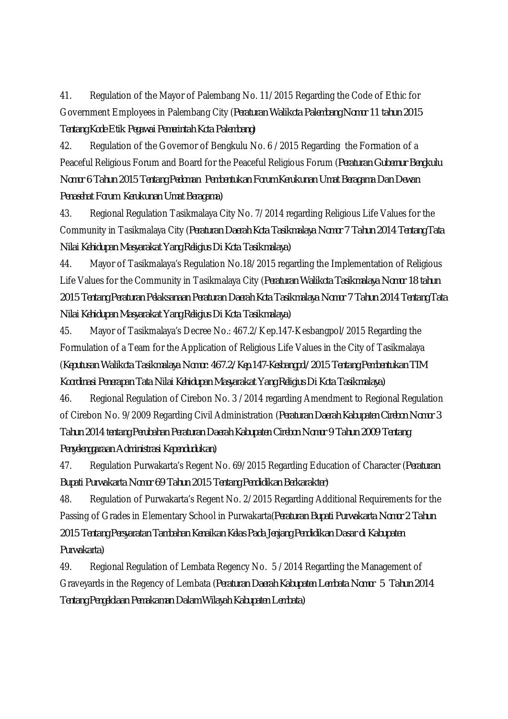41. Regulation of the Mayor of Palembang No. 11/2015 Regarding the Code of Ethic for Government Employees in Palembang City (*Peraturan Walikota Palembang Nomor 11 tahun 2015 Tentang Kode Etik Pegawai Pemerintah Kota Palembang)*

42. Regulation of the Governor of Bengkulu No. 6 /2015 Regarding the Formation of a Peaceful Religious Forum and Board for the Peaceful Religious Forum (*Peraturan Gubernur Bengkulu Nomor 6 Tahun 2015 Tentang Pedoman Pembentukan Forum Kerukunan Umat Beragama Dan Dewan Penasehat Forum Kerukunan Umat Beragama)*

43. Regional Regulation Tasikmalaya City No. 7/2014 regarding Religious Life Values for the Community in Tasikmalaya City (*Peraturan Daerah Kota Tasikmalaya Nomor 7 Tahun 2014 Tentang Tata Nilai Kehidupan Masyarakat Yang Religius Di Kota Tasikmalaya)*

44. Mayor of Tasikmalaya's Regulation No.18/2015 regarding the Implementation of Religious Life Values for the Community in Tasikmalaya City (*Peraturan Walikota Tasikmalaya Nomor 18 tahun 2015 Tentang Peraturan Pelaksanaan Peraturan Daerah Kota Tasikmalaya Nomor 7 Tahun 2014 Tentang Tata Nilai Kehidupan Masyarakat Yang Religius Di Kota Tasikmalaya)*

45. Mayor of Tasikmalaya's Decree No.: 467.2/Kep.147-Kesbangpol/2015 Regarding the Formulation of a Team for the Application of Religious Life Values in the City of Tasikmalaya (*Keputusan Walikota Tasikmalaya Nomor: 467.2/Kep.147-Kesbangpol/2015 Tentang Pembentukan TIM Koordinasi Penerapan Tata Nilai Kehidupan Masyarakat Yang Religius Di Kota Tasikmalaya)*

46. Regional Regulation of Cirebon No. 3 /2014 regarding Amendment to Regional Regulation of Cirebon No. 9/2009 Regarding Civil Administration (*Peraturan Daerah Kabupaten Cirebon Nomor 3 Tahun 2014 tentang Perubahan Peraturan Daerah Kabupaten Cirebon Nomor 9 Tahun 2009 Tentang Penyelenggaraan Administrasi Kependudukan)*

47. Regulation Purwakarta's Regent No. 69/2015 Regarding Education of Character (*Peraturan Bupati Purwakarta Nomor 69 Tahun 2015 Tentang Pendidikan Berkarakter)*

48. Regulation of Purwakarta's Regent No. 2/2015 Regarding Additional Requirements for the Passing of Grades in Elementary School in Purwakarta(*Peraturan Bupati Purwakarta Nomor 2 Tahun 2015 Tentang Persyaratan Tambahan Kenaikan Kelas Pada Jenjang Pendidikan Dasar di Kabupaten Purwakarta)*

49. Regional Regulation of Lembata Regency No. 5 /2014 Regarding the Management of Graveyards in the Regency of Lembata (*Peraturan Daerah Kabupaten Lembata Nomor 5 Tahun 2014 Tentang Pengelolaan Pemakaman Dalam Wilayah Kabupaten Lembata)*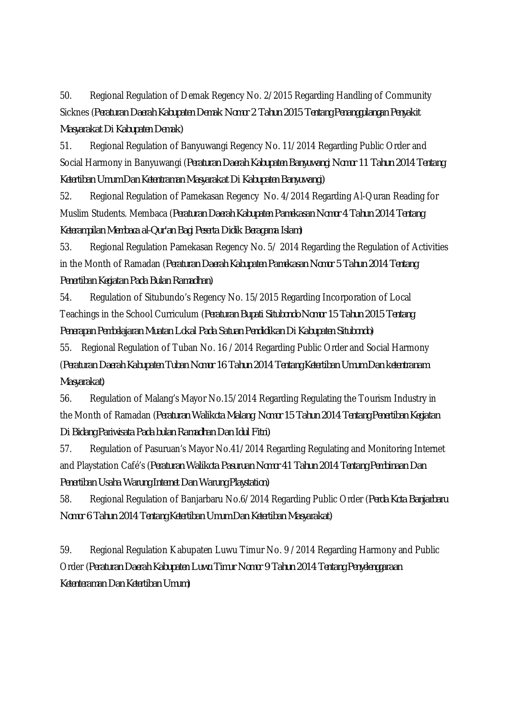50. Regional Regulation of Demak Regency No. 2/2015 Regarding Handling of Community Sicknes (*Peraturan Daerah Kabupaten Demak Nomor 2 Tahun 2015 Tentang Penanggulangan Penyakit Masyarakat Di Kabupaten Demak)*

51. Regional Regulation of Banyuwangi Regency No. 11/2014 Regarding Public Order and Social Harmony in Banyuwangi (*Peraturan Daerah Kabupaten Banyuwangi Nomor 11 Tahun 2014 Tentang Ketertiban Umum Dan Ketentraman Masyarakat Di Kabupaten Banyuwangi)*

52. Regional Regulation of Pamekasan Regency No. 4/2014 Regarding Al-Quran Reading for Muslim Students. Membaca (*Peraturan Daerah Kabupaten Pamekasan Nomor 4 Tahun 2014 Tentang Keterampilan Membaca al-Qur'an Bagi Peserta Didik Beragama Islam)*

53. Regional Regulation Pamekasan Regency No. 5/ 2014 Regarding the Regulation of Activities in the Month of Ramadan (*Peraturan Daerah Kabupaten Pamekasan Nomor 5 Tahun 2014 Tentang Penertiban Kegiatan Pada Bulan Ramadhan)*

54. Regulation of Situbundo's Regency No. 15/2015 Regarding Incorporation of Local Teachings in the School Curriculum (*Peraturan Bupati Situbondo Nomor 15 Tahun 2015 Tentang Penerapan Pembelajaran Muatan Lokal Pada Satuan Pendidikan Di Kabupaten Situbondo)*

55. Regional Regulation of Tuban No. 16 /2014 Regarding Public Order and Social Harmony (*Peraturan Daerah Kabupaten Tuban Nomor 16 Tahun 2014 Tentang Ketertiban Umum Dan ketentranam Masyarakat)*

56. Regulation of Malang's Mayor No.15/2014 Regarding Regulating the Tourism Industry in the Month of Ramadan (*Peraturan Walikota Malang Nomor 15 Tahun 2014 Tentang Penertiban Kegiatan Di Bidang Pariwisata Pada bulan Ramadhan Dan Idul Fitri)*

57. Regulation of Pasuruan's Mayor No.41/2014 Regarding Regulating and Monitoring Internet and Playstation Café's (*Peraturan Walikota Pasuruan Nomor 41 Tahun 2014 Tentang Pembinaan Dan Penertiban Usaha Warung Internet Dan Warung Playstation)*

58. Regional Regulation of Banjarbaru No.6/2014 Regarding Public Order (*Perda Kota Banjarbaru Nomor 6 Tahun 2014 Tentang Ketertiban Umum Dan Ketertiban Masyarakat)*

59. Regional Regulation Kabupaten Luwu Timur No. 9 /2014 Regarding Harmony and Public Order (*Peraturan Daerah Kabupaten Luwu Timur Nomor 9 Tahun 2014 Tentang Penyelenggaraan Ketenteraman Dan Ketertiban Umum)*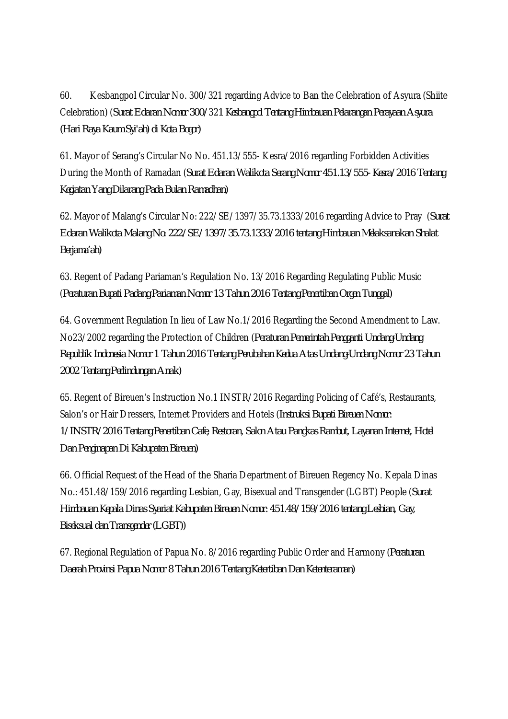60. Kesbangpol Circular No. 300/321 regarding Advice to Ban the Celebration of Asyura (Shiite Celebration) (*Surat Edaran Nomor 300/*32*1 Kesbangpol Tentang Himbauan Pelarangan Perayaan Asyura (Hari Raya Kaum Syi'ah) di Kota Bogor)*

61. Mayor of Serang's Circular No No. 451.13/555- Kesra/2016 regarding Forbidden Activities During the Month of Ramadan (*Surat Edaran Walikota Serang Nomor 451.13/555- Kesra/2016 Tentang Kegiatan Yang Dilarang Pada Bulan Ramadhan)*

62. Mayor of Malang's Circular No: 222/SE/1397/35.73.1333/2016 regarding Advice to Pray (*Surat Edaran Walikota Malang No: 222/SE/1397/35.73.1333/2016 tentang Himbauan Melaksanakan Shalat Berjama'ah)*

63. Regent of Padang Pariaman's Regulation No. 13/2016 Regarding Regulating Public Music (*Peraturan Bupati Padang Pariaman Nomor 13 Tahun 2016 Tentang Penertiban Orgen Tunggal)*

64. Government Regulation In lieu of Law No.1/2016 Regarding the Second Amendment to Law. No23/2002 regarding the Protection of Children (*Peraturan Pemerintah Pengganti Undang-Undang Republik Indonesia Nomor 1 Tahun 2016 Tentang Perubahan Kedua Atas Undang-Undang Nomor 23 Tahun 2002 Tentang Perlindungan Anak)*

65. Regent of Bireuen's Instruction No.1 INSTR/2016 Regarding Policing of Café's, Restaurants, Salon's or Hair Dressers, Internet Providers and Hotels (*Instruksi Bupati Bireuen Nomor: 1/INSTR/2016 Tentang Penertiban Cafe, Restoran, Salon Atau Pangkas Rambut, Layanan Internet, Hotel Dan Penginapan Di Kabupaten Bireuen)*

66. Official Request of the Head of the Sharia Department of Bireuen Regency No. Kepala Dinas No.: 451.48/159/2016 regarding Lesbian, Gay, Bisexual and Transgender (LGBT) People (*Surat Himbauan Kepala Dinas Syariat Kabupaten Bireuen Nomor: 451.48/159/2016 tentang Lesbian, Gay, Biseksual dan Transgender (LGBT))*

67. Regional Regulation of Papua No. 8/2016 regarding Public Order and Harmony (*Peraturan Daerah Provinsi Papua Nomor 8 Tahun 2016 Tentang Ketertiban Dan Ketenteraman)*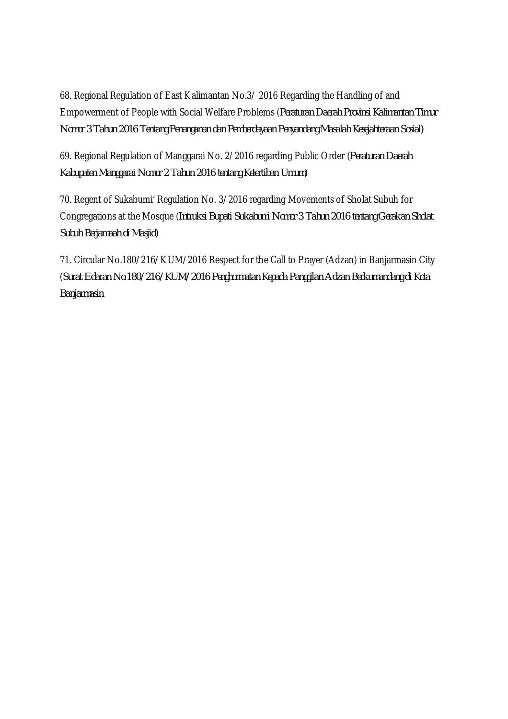68. Regional Regulation of East Kalimantan No.3/ 2016 Regarding the Handling of and Empowerment of People with Social Welfare Problems (*Peraturan Daerah Provinsi Kalimantan Timur Nomor 3 Tahun 2016 Tentang Penanganan dan Pemberdayaan Penyandang Masalah Kesejahteraan Sosial)*

69. Regional Regulation of Manggarai No. 2/2016 regarding Public Order (*Peraturan Daerah Kabupaten Manggarai Nomor 2 Tahun 2016 tentang Ketertiban Umum)*

70. Regent of Sukabumi' Regulation No. 3/2016 regarding Movements of Sholat Subuh for Congregations at the Mosque (*Intruksi Bupati Sukabumi Nomor 3 Tahun 2016 tentang Gerakan Sholat Subuh Berjamaah di Masjid)*

71. Circular No.180/216/KUM/2016 Respect for the Call to Prayer (Adzan) in Banjarmasin City (*Surat Edaran No.180/216/KUM/2016 Penghormatan Kepada Panggilan Adzan Berkumandang di Kota Banjarmasin*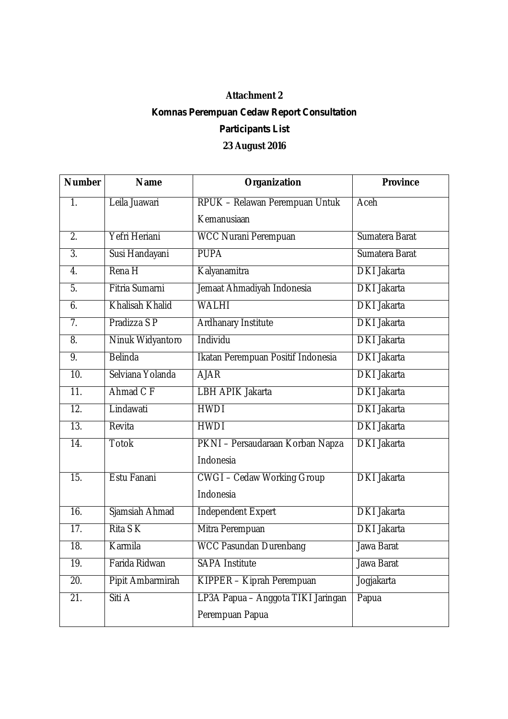## **Attachment 2**

## *Komnas Perempuan Cedaw Report Consultation Participants List* **23 August 2016**

| <b>Number</b>     | <b>Name</b>            | Organization                       | <b>Province</b>    |
|-------------------|------------------------|------------------------------------|--------------------|
| 1 <sub>1</sub>    | Leila Juawari          | RPUK - Relawan Perempuan Untuk     | Aceh               |
|                   |                        | Kemanusiaan                        |                    |
| $\overline{2}$ .  | Yefri Heriani          | <b>WCC Nurani Perempuan</b>        | Sumatera Barat     |
| $\overline{3}$ .  | Susi Handayani         | <b>PUPA</b>                        | Sumatera Barat     |
| $\overline{4}$ .  | Rena H                 | Kalyanamitra                       | <b>DKI</b> Jakarta |
| $\overline{5}$ .  | Fitria Sumarni         | Jemaat Ahmadiyah Indonesia         | <b>DKI Jakarta</b> |
| 6.                | <b>Khalisah Khalid</b> | <b>WALHI</b>                       | <b>DKI</b> Jakarta |
| 7.                | Pradizza S P           | <b>Ardhanary Institute</b>         | <b>DKI Jakarta</b> |
| 8.                | Ninuk Widyantoro       | Individu                           | <b>DKI</b> Jakarta |
| 9.                | <b>Belinda</b>         | Ikatan Perempuan Positif Indonesia | <b>DKI</b> Jakarta |
| 10.               | Selviana Yolanda       | <b>AJAR</b>                        | <b>DKI</b> Jakarta |
| $\overline{11}$ . | Ahmad C F              | <b>LBH APIK Jakarta</b>            | <b>DKI</b> Jakarta |
| $\overline{12}$ . | Lindawati              | <b>HWDI</b>                        | <b>DKI</b> Jakarta |
| $\overline{13}$ . | Revita                 | <b>HWDI</b>                        | <b>DKI</b> Jakarta |
| $\overline{14}$ . | <b>Totok</b>           | PKNI - Persaudaraan Korban Napza   | <b>DKI</b> Jakarta |
|                   |                        | Indonesia                          |                    |
| $\overline{15}$ . | Estu Fanani            | <b>CWGI-Cedaw Working Group</b>    | <b>DKI</b> Jakarta |
|                   |                        | Indonesia                          |                    |
| $\overline{16}$ . | Sjamsiah Ahmad         | <b>Independent Expert</b>          | <b>DKI</b> Jakarta |
| $\overline{17}$ . | Rita S K               | Mitra Perempuan                    | <b>DKI</b> Jakarta |
| 18.               | Karmila                | <b>WCC Pasundan Durenbang</b>      | Jawa Barat         |
| 19.               | Farida Ridwan          | <b>SAPA Institute</b>              | Jawa Barat         |
| 20.               | Pipit Ambarmirah       | KIPPER - Kiprah Perempuan          | Jogjakarta         |
| $\overline{21}$ . | Siti A                 | LP3A Papua - Anggota TIKI Jaringan | Papua              |
|                   |                        | Perempuan Papua                    |                    |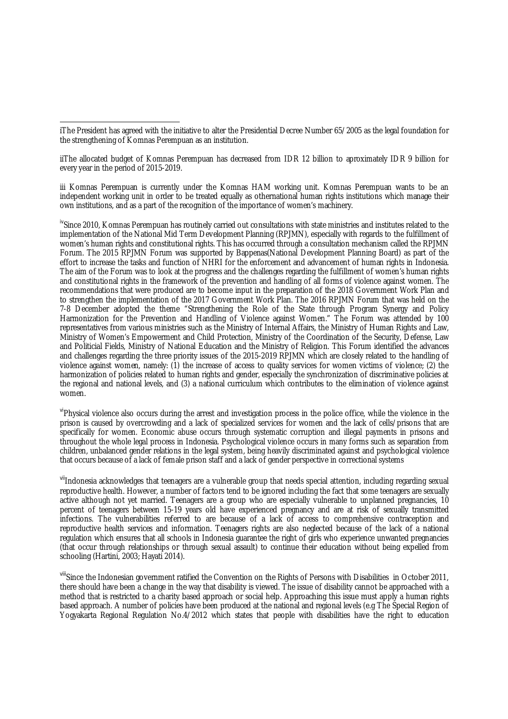iThe President has agreed with the initiative to alter the Presidential Decree Number 65/2005 as the legal foundation for the strengthening of Komnas Perempuan as an institution.

iiThe allocated budget of Komnas Perempuan has decreased from IDR 12 billion to aproximately IDR 9 billion for every year in the period of 2015-2019.

iii Komnas Perempuan is currently under the Komnas HAM working unit. Komnas Perempuan wants to be an independent working unit in order to be treated equally as othernational human rights institutions which manage their own institutions, and as a part of the recognition of the importance of women's machinery.

<sup>iv</sup>Since 2010, Komnas Perempuan has routinely carried out consultations with state ministries and institutes related to the implementation of the National Mid Term Development Planning (RPJMN), especially with regards to the fulfillment of women's human rights and constitutional rights. This has occurred through a consultation mechanism called the RPJMN Forum. The 2015 RPJMN Forum was supported by Bappenas(National Development Planning Board) as part of the effort to increase the tasks and function of NHRI for the enforcement and advancement of human rights in Indonesia. The aim of the Forum was to look at the progress and the challenges regarding the fulfillment of women's human rights and constitutional rights in the framework of the prevention and handling of all forms of violence against women. The recommendations that were produced are to become input in the preparation of the 2018 Government Work Plan and to strengthen the implementation of the 2017 Government Work Plan. The 2016 RPJMN Forum that was held on the 7-8 December adopted the theme "Strengthening the Role of the State through Program Synergy and Policy Harmonization for the Prevention and Handling of Violence against Women." The Forum was attended by 100 representatives from various ministries such as the Ministry of Internal Affairs, the Ministry of Human Rights and Law, Ministry of Women's Empowerment and Child Protection, Ministry of the Coordination of the Security, Defense, Law and Politicial Fields, Ministry of National Education and the Ministry of Religion. This Forum identified the advances and challenges regarding the three priority issues of the 2015-2019 RPJMN which are closely related to the handling of violence against women, namely: (1) the increase of access to quality services for women victims of violence; (2) the harmonization of policies related to human rights and gender, especially the synchronization of discriminative policies at the regional and national levels, and (3) a national curriculum which contributes to the elimination of violence against women.

viPhysical violence also occurs during the arrest and investigation process in the police office, while the violence in the prison is caused by overcrowding and a lack of specialized services for women and the lack of cells/prisons that are specifically for women. Economic abuse occurs through systematic corruption and illegal payments in prisons and throughout the whole legal process in Indonesia. Psychological violence occurs in many forms such as separation from children, unbalanced gender relations in the legal system, being heavily discriminated against and psychological violence that occurs because of a lack of female prison staff and a lack of gender perspective in correctional systems

viiIndonesia acknowledges that teenagers are a vulnerable group that needs special attention, including regarding sexual reproductive health. However, a number of factors tend to be ignored including the fact that some teenagers are sexually active although not yet married. Teenagers are a group who are especially vulnerable to unplanned pregnancies, 10 percent of teenagers between 15-19 years old have experienced pregnancy and are at risk of sexually transmitted infections. The vulnerabilities referred to are because of a lack of access to comprehensive contraception and reproductive health services and information. Teenagers rights are also neglected because of the lack of a national regulation which ensures that all schools in Indonesia guarantee the right of girls who experience unwanted pregnancies (that occur through relationships or through sexual assault) to continue their education without being expelled from schooling (Hartini, 2003; Hayati 2014).

vill'Since the Indonesian government ratified the Convention on the Rights of Persons with Disabilities in October 2011, there should have been a change in the way that disability is viewed. The issue of disability cannot be approached with a method that is restricted to a charity based approach or social help. Approaching this issue must apply a human rights based approach. A number of policies have been produced at the national and regional levels (e.g The Special Region of Yogyakarta Regional Regulation No.4/2012 which states that people with disabilities have the right to education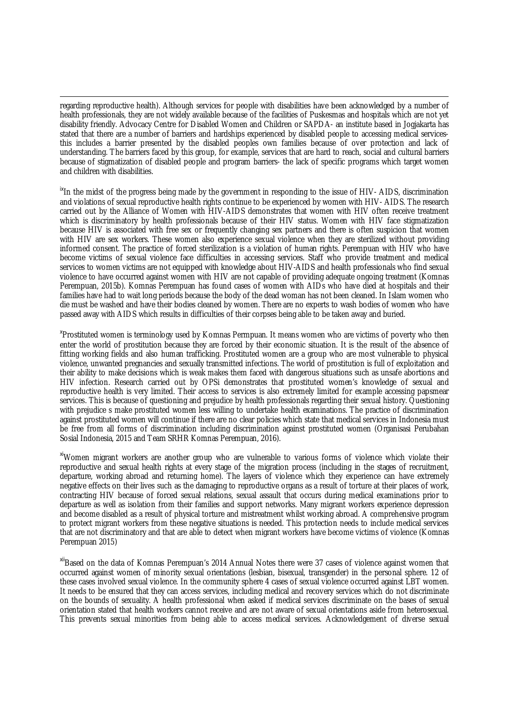regarding reproductive health). Although services for people with disabilities have been acknowledged by a number of health professionals, they are not widely available because of the facilities of Puskesmas and hospitals which are not yet disability friendly. Advocacy Centre for Disabled Women and Children or SAPDA- an institute based in Jogjakarta has stated that there are a number of barriers and hardships experienced by disabled people to accessing medical servicesthis includes a barrier presented by the disabled peoples own families because of over protection and lack of understanding. The barriers faced by this group, for example, services that are hard to reach, social and cultural barriers because of stigmatization of disabled people and program barriers- the lack of specific programs which target women and children with disabilities.

<sup>ix</sup>In the midst of the progress being made by the government in responding to the issue of HIV- AIDS, discrimination and violations of sexual reproductive health rights continue to be experienced by women with HIV- AIDS. The research carried out by the Alliance of Women with HIV-AIDS demonstrates that women with HIV often receive treatment which is discriminatory by health professionals because of their HIV status. Women with HIV face stigmatization because HIV is associated with free sex or frequently changing sex partners and there is often suspicion that women with HIV are sex workers. These women also experience sexual violence when they are sterilized without providing informed consent. The practice of forced sterilization is a violation of human rights. Perempuan with HIV who have become victims of sexual violence face difficulties in accessing services. Staff who provide treatment and medical services to women victims are not equipped with knowledge about HIV-AIDS and health professionals who find sexual violence to have occurred against women with HIV are not capable of providing adequate ongoing treatment (Komnas Perempuan, 2015b). Komnas Perempuan has found cases of women with AIDs who have died at hospitals and their families have had to wait long periods because the body of the dead woman has not been cleaned. In Islam women who die must be washed and have their bodies cleaned by women. There are no experts to wash bodies of women who have passed away with AIDS which results in difficulties of their corpses being able to be taken away and buried.

<sup>x</sup>Prostituted women is terminology used by Komnas Permpuan. It means women who are victims of poverty who then enter the world of prostitution because they are forced by their economic situation. It is the result of the absence of fitting working fields and also human trafficking. Prostituted women are a group who are most vulnerable to physical violence, unwanted pregnancies and sexually transmitted infections. The world of prostitution is full of exploitation and their ability to make decisions which is weak makes them faced with dangerous situations such as unsafe abortions and HIV infection. Research carried out by OPSi demonstrates that prostituted women's knowledge of sexual and reproductive health is very limited. Their access to services is also extremely limited for example accessing papsmear services. This is because of questioning and prejudice by health professionals regarding their sexual history. Questioning with prejudice s make prostituted women less willing to undertake health examinations. The practice of discrimination against prostituted women will continue if there are no clear policies which state that medical services in Indonesia must be free from all forms of discrimination including discrimination against prostituted women (Organisasi Perubahan Sosial Indonesia, 2015 and Team SRHR Komnas Perempuan, 2016).

xiWomen migrant workers are another group who are vulnerable to various forms of violence which violate their reproductive and sexual health rights at every stage of the migration process (including in the stages of recruitment, departure, working abroad and returning home). The layers of violence which they experience can have extremely negative effects on their lives such as the damaging to reproductive organs as a result of torture at their places of work, contracting HIV because of forced sexual relations, sexual assault that occurs during medical examinations prior to departure as well as isolation from their families and support networks. Many migrant workers experience depression and become disabled as a result of physical torture and mistreatment whilst working abroad. A comprehensive program to protect migrant workers from these negative situations is needed. This protection needs to include medical services that are not discriminatory and that are able to detect when migrant workers have become victims of violence (Komnas Perempuan 2015)

xiiBased on the data of Komnas Perempuan's 2014 Annual Notes there were 37 cases of violence against women that occurred against women of minority sexual orientations (lesbian, bisexual, transgender) in the personal sphere. 12 of these cases involved sexual violence. In the community sphere 4 cases of sexual violence occurred against LBT women. It needs to be ensured that they can access services, including medical and recovery services which do not discriminate on the bounds of sexuality. A health professional when asked if medical services discriminate on the bases of sexual orientation stated that health workers cannot receive and are not aware of sexual orientations aside from heterosexual. This prevents sexual minorities from being able to access medical services. Acknowledgement of diverse sexual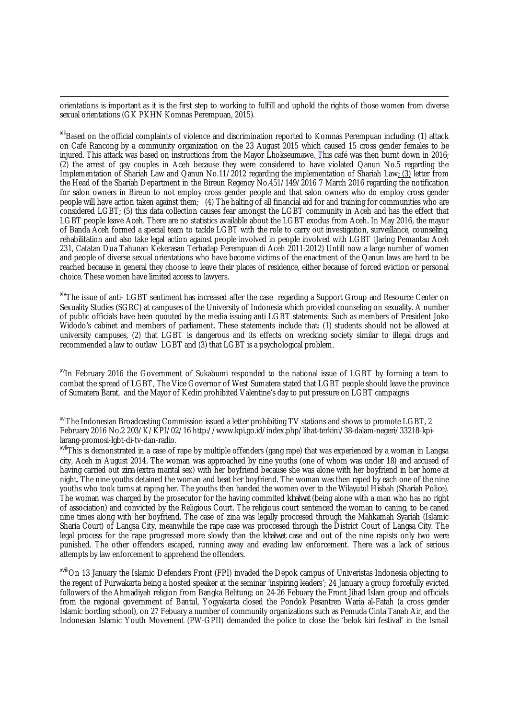orientations is important as it is the first step to working to fulfill and uphold the rights of those women from diverse sexual orientations (GK PKHN Komnas Perempuan, 2015).

xill Based on the official complaints of violence and discrimination reported to Komnas Perempuan including: (1) attack on Café Rancong by a community organization on the 23 August 2015 which caused 15 cross gender females to be injured. This attack was based on instructions from the Mayor Lhokseumawe. This café was then burnt down in 2016; (2) the arrest of gay couples in Aceh because they were considered to have violated Qanun No.5 regarding the Implementation of Shariah Law and Qanun No.11/2012 regarding the implementation of Shariah Law*;* (3) letter from the Head of the Shariah Department in the Bireun Regency No.451/149/2016 7 March 2016 regarding the notification for salon owners in Bireun to not employ cross gender people and that salon owners who do employ cross gender people will have action taken against them; (4) The halting of all financial aid for and training for communities who are considered LGBT; (5) this data collection causes fear amongst the LGBT community in Aceh and has the effect that LGBT people leave Aceh. There are no statistics available about the LGBT exodus from Aceh*.* In May 2016, the mayor of Banda Aceh formed a special team to tackle LGBT with the role to carry out investigation, surveillance, counseling, rehabilitation and also take legal action against people involved in people involved with LGBT (Jaring Pemantau Aceh 231, Catatan Dua Tahunan Kekerasan Terhadap Perempuan di Aceh 2011-2012) Untill now a large number of women and people of diverse sexual orientations who have become victims of the enactment of the Qanun laws are hard to be reached because in general they choose to leave their places of residence, either because of forced eviction or personal choice. These women have limited access to lawyers.

xivThe issue of anti- LGBT sentiment has increased after the case regarding a Support Group and Resource Center on Sexuality Studies (SGRC) at campuses of the University of Indonesia which provided counseling on sexuality. A number of public officials have been quouted by the media issuing anti LGBT statements: Such as members of President Joko Widodo's cabinet and members of parliament. These statements include that: (1) students should not be allowed at university campuses, (2) that LGBT is dangerous and its effects on wrecking society similar to illegal drugs and recommended a law to outlaw LGBT and (3) that LGBT is a psychological problem.

<sup>xv</sup>In February 2016 the Government of Sukabumi responded to the national issue of LGBT by forming a team to combat the spread of LGBT, The Vice Governor of West Sumatera stated that LGBT people should leave the province of Sumatera Barat, and the Mayor of Kediri prohibited Valentine's day to put pressure on LGBT campaigns

<sup>xvi</sup>The Indonesian Broadcasting Commission issued a letter prohibiting TV stations and shows to promote LGBT, 2 February 2016 No.2 203/K/KPI/02/16 http://www.kpi.go.id/index.php/lihat-terkini/38-dalam-negeri/33218-kpilarang-promosi-lgbt-di-tv-dan-radio.

xviiThis is demonstrated in a case of rape by multiple offenders (gang rape) that was experienced by a woman in Langsa city, Aceh in August 2014. The woman was approached by nine youths (one of whom was under 18) and accused of having carried out *zina* (extra marital sex) with her boyfriend because she was alone with her boyfriend in her home at night. The nine youths detained the woman and beat her boyfriend. The woman was then raped by each one of the nine youths who took turns at raping her. The youths then handed the women over to the Wilayutul Hisbah (Shariah Police). The woman was charged by the prosecutor for the having commited *khalwat* (being alone with a man who has no right of association) and convicted by the Religious Court. The religious court sentenced the woman to caning, to be caned nine times along with her boyfriend. The case of zina was legally proccesed through the Mahkamah Syariah (Islamic Sharia Court) of Langsa City, meanwhile the rape case was proccesed through the District Court of Langsa City. The legal process for the rape progressed more slowly than the *khalwat* case and out of the nine rapists only two were punished. The other offenders escaped, running away and evading law enforcement. There was a lack of serious attempts by law enforcement to apprehend the offenders.

xviiiOn 13 January the Islamic Defenders Front (FPI) invaded the Depok campus of Univeristas Indonesia objecting to the regent of Purwakarta being a hosted speaker at the seminar 'inspiring leaders'; 24 January a group forcefully evicted followers of the Ahmadiyah religion from Bangka Belitung; on 24-26 Febuary the Front Jihad Islam group and officials from the regional government of Bantul, Yogyakarta closed the Pondok Pesantren Waria al-Fatah (a cross gender Islamic bording school), on 27 Febuary a number of community organizations such as Pemuda Cinta Tanah Air, and the Indonesian Islamic Youth Movement (PW-GPII) demanded the police to close the 'belok kiri festival' in the Ismail